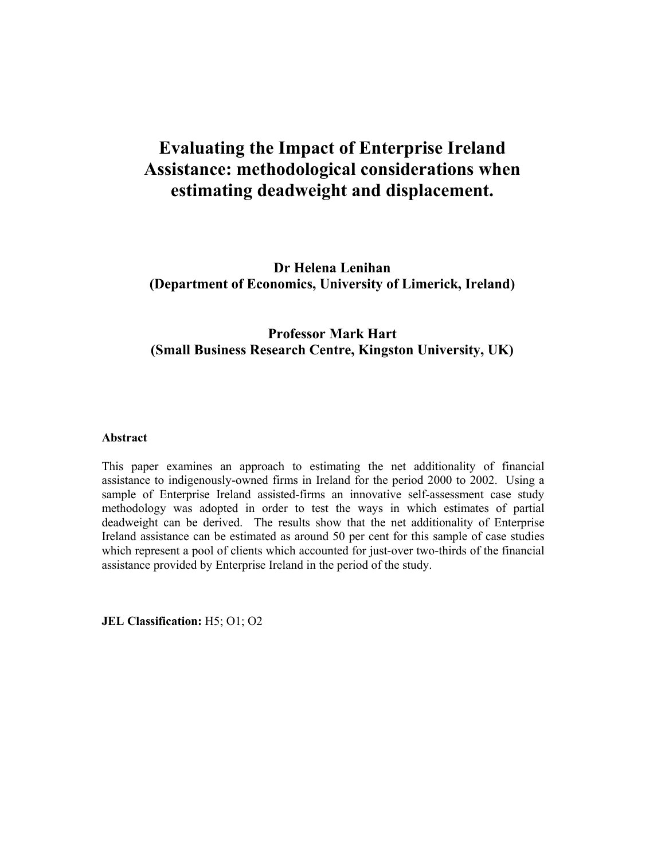# **Evaluating the Impact of Enterprise Ireland Assistance: methodological considerations when estimating deadweight and displacement.**

**Dr Helena Lenihan (Department of Economics, University of Limerick, Ireland)** 

## **Professor Mark Hart (Small Business Research Centre, Kingston University, UK)**

#### **Abstract**

This paper examines an approach to estimating the net additionality of financial assistance to indigenously-owned firms in Ireland for the period 2000 to 2002. Using a sample of Enterprise Ireland assisted-firms an innovative self-assessment case study methodology was adopted in order to test the ways in which estimates of partial deadweight can be derived. The results show that the net additionality of Enterprise Ireland assistance can be estimated as around 50 per cent for this sample of case studies which represent a pool of clients which accounted for just-over two-thirds of the financial assistance provided by Enterprise Ireland in the period of the study.

**JEL Classification:** H5; O1; O2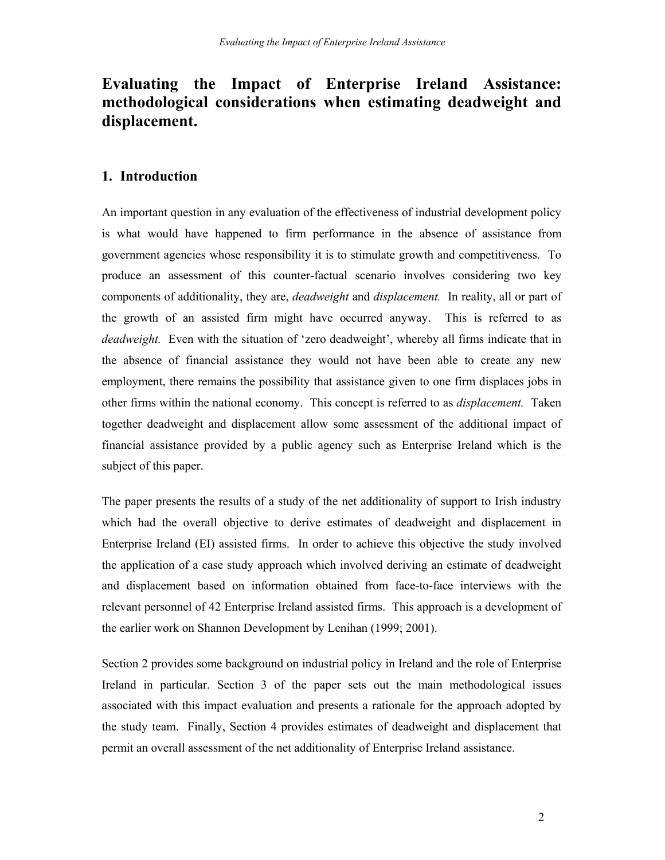## **Evaluating the Impact of Enterprise Ireland Assistance: methodological considerations when estimating deadweight and displacement.**

## **1. Introduction**

An important question in any evaluation of the effectiveness of industrial development policy is what would have happened to firm performance in the absence of assistance from government agencies whose responsibility it is to stimulate growth and competitiveness. To produce an assessment of this counter-factual scenario involves considering two key components of additionality, they are, *deadweight* and *displacement.* In reality, all or part of the growth of an assisted firm might have occurred anyway. This is referred to as *deadweight.* Even with the situation of 'zero deadweight', whereby all firms indicate that in the absence of financial assistance they would not have been able to create any new employment, there remains the possibility that assistance given to one firm displaces jobs in other firms within the national economy. This concept is referred to as *displacement.* Taken together deadweight and displacement allow some assessment of the additional impact of financial assistance provided by a public agency such as Enterprise Ireland which is the subject of this paper.

The paper presents the results of a study of the net additionality of support to Irish industry which had the overall objective to derive estimates of deadweight and displacement in Enterprise Ireland (EI) assisted firms. In order to achieve this objective the study involved the application of a case study approach which involved deriving an estimate of deadweight and displacement based on information obtained from face-to-face interviews with the relevant personnel of 42 Enterprise Ireland assisted firms. This approach is a development of the earlier work on Shannon Development by Lenihan (1999; 2001).

Section 2 provides some background on industrial policy in Ireland and the role of Enterprise Ireland in particular. Section 3 of the paper sets out the main methodological issues associated with this impact evaluation and presents a rationale for the approach adopted by the study team. Finally, Section 4 provides estimates of deadweight and displacement that permit an overall assessment of the net additionality of Enterprise Ireland assistance.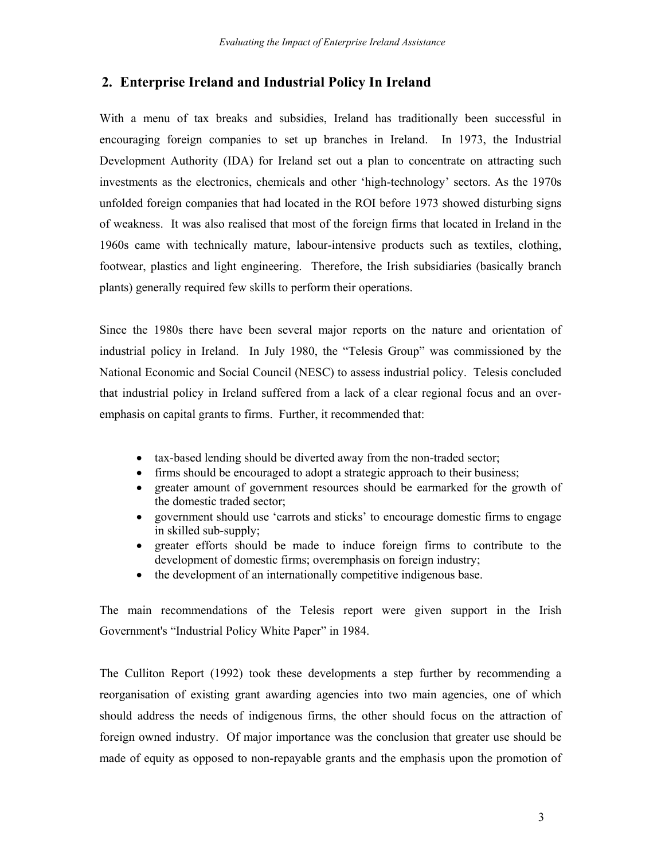## **2. Enterprise Ireland and Industrial Policy In Ireland**

With a menu of tax breaks and subsidies, Ireland has traditionally been successful in encouraging foreign companies to set up branches in Ireland. In 1973, the Industrial Development Authority (IDA) for Ireland set out a plan to concentrate on attracting such investments as the electronics, chemicals and other 'high-technology' sectors. As the 1970s unfolded foreign companies that had located in the ROI before 1973 showed disturbing signs of weakness. It was also realised that most of the foreign firms that located in Ireland in the 1960s came with technically mature, labour-intensive products such as textiles, clothing, footwear, plastics and light engineering. Therefore, the Irish subsidiaries (basically branch plants) generally required few skills to perform their operations.

Since the 1980s there have been several major reports on the nature and orientation of industrial policy in Ireland. In July 1980, the "Telesis Group" was commissioned by the National Economic and Social Council (NESC) to assess industrial policy. Telesis concluded that industrial policy in Ireland suffered from a lack of a clear regional focus and an overemphasis on capital grants to firms. Further, it recommended that:

- tax-based lending should be diverted away from the non-traded sector;
- firms should be encouraged to adopt a strategic approach to their business;
- greater amount of government resources should be earmarked for the growth of the domestic traded sector;
- government should use 'carrots and sticks' to encourage domestic firms to engage in skilled sub-supply;
- greater efforts should be made to induce foreign firms to contribute to the development of domestic firms; overemphasis on foreign industry;
- the development of an internationally competitive indigenous base.

The main recommendations of the Telesis report were given support in the Irish Government's "Industrial Policy White Paper" in 1984.

The Culliton Report (1992) took these developments a step further by recommending a reorganisation of existing grant awarding agencies into two main agencies, one of which should address the needs of indigenous firms, the other should focus on the attraction of foreign owned industry. Of major importance was the conclusion that greater use should be made of equity as opposed to non-repayable grants and the emphasis upon the promotion of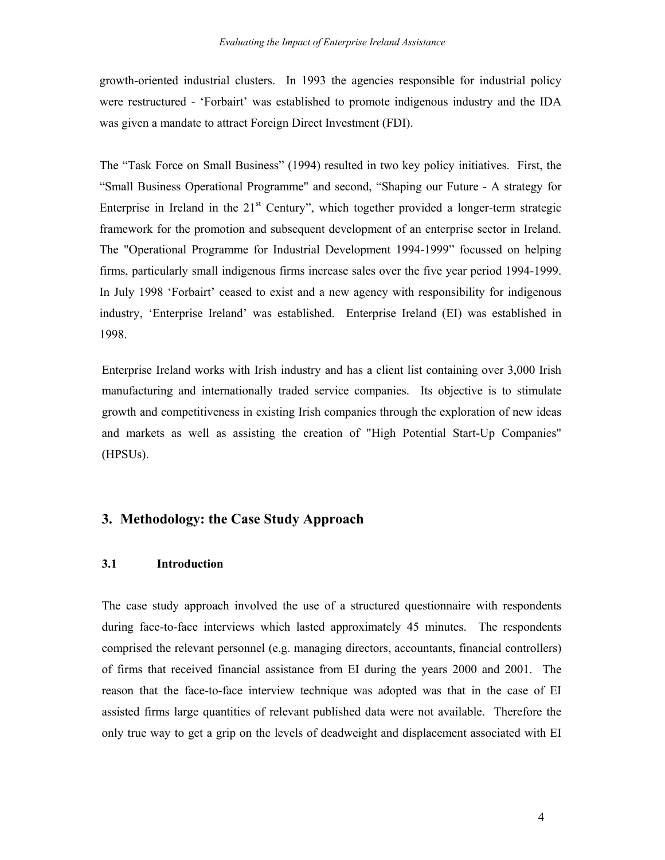growth-oriented industrial clusters. In 1993 the agencies responsible for industrial policy were restructured - 'Forbairt' was established to promote indigenous industry and the IDA was given a mandate to attract Foreign Direct Investment (FDI).

The "Task Force on Small Business" (1994) resulted in two key policy initiatives. First, the "Small Business Operational Programme" and second, "Shaping our Future - A strategy for Enterprise in Ireland in the  $21<sup>st</sup>$  Century", which together provided a longer-term strategic framework for the promotion and subsequent development of an enterprise sector in Ireland. The "Operational Programme for Industrial Development 1994-1999" focussed on helping firms, particularly small indigenous firms increase sales over the five year period 1994-1999. In July 1998 'Forbairt' ceased to exist and a new agency with responsibility for indigenous industry, 'Enterprise Ireland' was established. Enterprise Ireland (EI) was established in 1998.

Enterprise Ireland works with Irish industry and has a client list containing over 3,000 Irish manufacturing and internationally traded service companies. Its objective is to stimulate growth and competitiveness in existing Irish companies through the exploration of new ideas and markets as well as assisting the creation of "High Potential Start-Up Companies" (HPSUs).

## **3. Methodology: the Case Study Approach**

#### **3.1 Introduction**

The case study approach involved the use of a structured questionnaire with respondents during face-to-face interviews which lasted approximately 45 minutes. The respondents comprised the relevant personnel (e.g. managing directors, accountants, financial controllers) of firms that received financial assistance from EI during the years 2000 and 2001. The reason that the face-to-face interview technique was adopted was that in the case of EI assisted firms large quantities of relevant published data were not available. Therefore the only true way to get a grip on the levels of deadweight and displacement associated with EI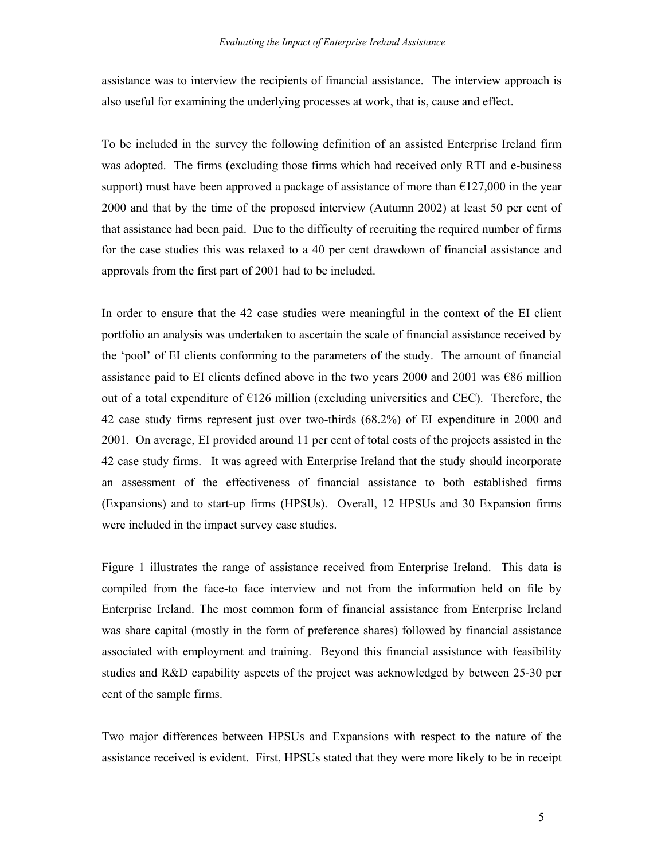assistance was to interview the recipients of financial assistance. The interview approach is also useful for examining the underlying processes at work, that is, cause and effect.

To be included in the survey the following definition of an assisted Enterprise Ireland firm was adopted. The firms (excluding those firms which had received only RTI and e-business support) must have been approved a package of assistance of more than  $\epsilon$ 127,000 in the year 2000 and that by the time of the proposed interview (Autumn 2002) at least 50 per cent of that assistance had been paid. Due to the difficulty of recruiting the required number of firms for the case studies this was relaxed to a 40 per cent drawdown of financial assistance and approvals from the first part of 2001 had to be included.

In order to ensure that the 42 case studies were meaningful in the context of the EI client portfolio an analysis was undertaken to ascertain the scale of financial assistance received by the 'pool' of EI clients conforming to the parameters of the study. The amount of financial assistance paid to EI clients defined above in the two years 2000 and 2001 was  $\epsilon$ 86 million out of a total expenditure of  $E126$  million (excluding universities and CEC). Therefore, the 42 case study firms represent just over two-thirds (68.2%) of EI expenditure in 2000 and 2001. On average, EI provided around 11 per cent of total costs of the projects assisted in the 42 case study firms.It was agreed with Enterprise Ireland that the study should incorporate an assessment of the effectiveness of financial assistance to both established firms (Expansions) and to start-up firms (HPSUs). Overall, 12 HPSUs and 30 Expansion firms were included in the impact survey case studies.

Figure 1 illustrates the range of assistance received from Enterprise Ireland. This data is compiled from the face-to face interview and not from the information held on file by Enterprise Ireland. The most common form of financial assistance from Enterprise Ireland was share capital (mostly in the form of preference shares) followed by financial assistance associated with employment and training. Beyond this financial assistance with feasibility studies and R&D capability aspects of the project was acknowledged by between 25-30 per cent of the sample firms.

Two major differences between HPSUs and Expansions with respect to the nature of the assistance received is evident. First, HPSUs stated that they were more likely to be in receipt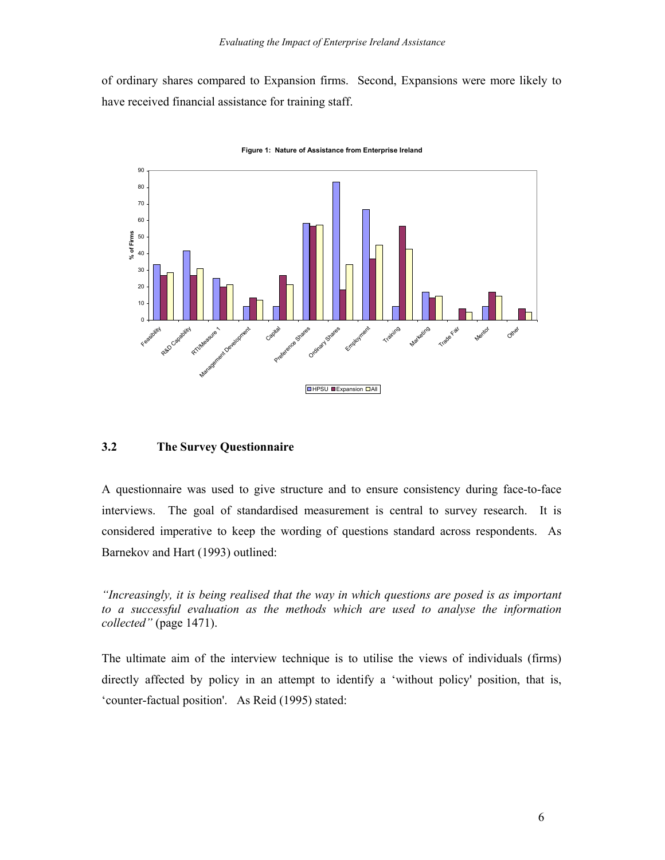of ordinary shares compared to Expansion firms. Second, Expansions were more likely to have received financial assistance for training staff.



**Figure 1: Nature of Assistance from Enterprise Ireland**

#### **3.2 The Survey Questionnaire**

A questionnaire was used to give structure and to ensure consistency during face-to-face interviews. The goal of standardised measurement is central to survey research. It is considered imperative to keep the wording of questions standard across respondents. As Barnekov and Hart (1993) outlined:

*"Increasingly, it is being realised that the way in which questions are posed is as important to a successful evaluation as the methods which are used to analyse the information collected"* (page 1471).

The ultimate aim of the interview technique is to utilise the views of individuals (firms) directly affected by policy in an attempt to identify a 'without policy' position, that is, 'counter-factual position'. As Reid (1995) stated: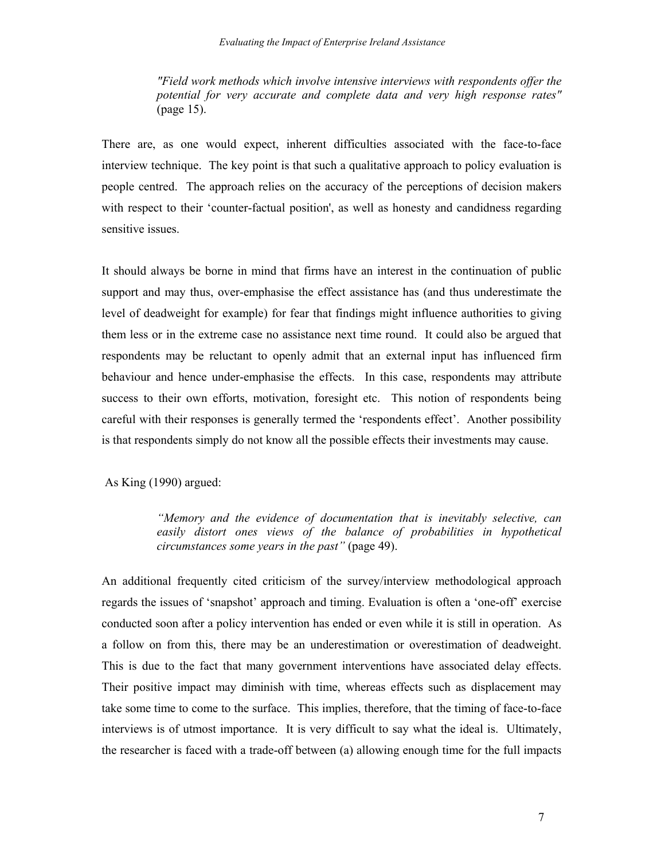*"Field work methods which involve intensive interviews with respondents offer the potential for very accurate and complete data and very high response rates"* (page 15).

There are, as one would expect, inherent difficulties associated with the face-to-face interview technique. The key point is that such a qualitative approach to policy evaluation is people centred. The approach relies on the accuracy of the perceptions of decision makers with respect to their 'counter-factual position', as well as honesty and candidness regarding sensitive issues.

It should always be borne in mind that firms have an interest in the continuation of public support and may thus, over-emphasise the effect assistance has (and thus underestimate the level of deadweight for example) for fear that findings might influence authorities to giving them less or in the extreme case no assistance next time round. It could also be argued that respondents may be reluctant to openly admit that an external input has influenced firm behaviour and hence under-emphasise the effects. In this case, respondents may attribute success to their own efforts, motivation, foresight etc. This notion of respondents being careful with their responses is generally termed the 'respondents effect'. Another possibility is that respondents simply do not know all the possible effects their investments may cause.

As King (1990) argued:

*"Memory and the evidence of documentation that is inevitably selective, can*  easily distort ones views of the balance of probabilities in hypothetical *circumstances some years in the past"* (page 49).

An additional frequently cited criticism of the survey/interview methodological approach regards the issues of 'snapshot' approach and timing. Evaluation is often a 'one-off' exercise conducted soon after a policy intervention has ended or even while it is still in operation. As a follow on from this, there may be an underestimation or overestimation of deadweight. This is due to the fact that many government interventions have associated delay effects. Their positive impact may diminish with time, whereas effects such as displacement may take some time to come to the surface. This implies, therefore, that the timing of face-to-face interviews is of utmost importance. It is very difficult to say what the ideal is. Ultimately, the researcher is faced with a trade-off between (a) allowing enough time for the full impacts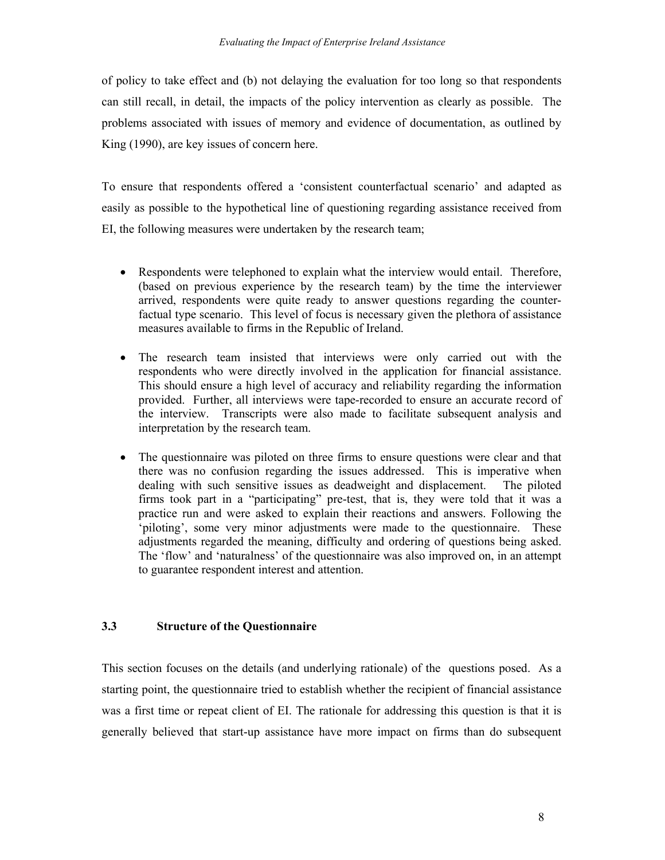of policy to take effect and (b) not delaying the evaluation for too long so that respondents can still recall, in detail, the impacts of the policy intervention as clearly as possible. The problems associated with issues of memory and evidence of documentation, as outlined by King (1990), are key issues of concern here.

To ensure that respondents offered a 'consistent counterfactual scenario' and adapted as easily as possible to the hypothetical line of questioning regarding assistance received from EI, the following measures were undertaken by the research team;

- Respondents were telephoned to explain what the interview would entail. Therefore, (based on previous experience by the research team) by the time the interviewer arrived, respondents were quite ready to answer questions regarding the counterfactual type scenario. This level of focus is necessary given the plethora of assistance measures available to firms in the Republic of Ireland.
- The research team insisted that interviews were only carried out with the respondents who were directly involved in the application for financial assistance. This should ensure a high level of accuracy and reliability regarding the information provided. Further, all interviews were tape-recorded to ensure an accurate record of the interview. Transcripts were also made to facilitate subsequent analysis and interpretation by the research team.
- The questionnaire was piloted on three firms to ensure questions were clear and that there was no confusion regarding the issues addressed. This is imperative when dealing with such sensitive issues as deadweight and displacement. The piloted firms took part in a "participating" pre-test, that is, they were told that it was a practice run and were asked to explain their reactions and answers. Following the 'piloting', some very minor adjustments were made to the questionnaire. These adjustments regarded the meaning, difficulty and ordering of questions being asked. The 'flow' and 'naturalness' of the questionnaire was also improved on, in an attempt to guarantee respondent interest and attention.

## **3.3 Structure of the Questionnaire**

This section focuses on the details (and underlying rationale) of the questions posed. As a starting point, the questionnaire tried to establish whether the recipient of financial assistance was a first time or repeat client of EI. The rationale for addressing this question is that it is generally believed that start-up assistance have more impact on firms than do subsequent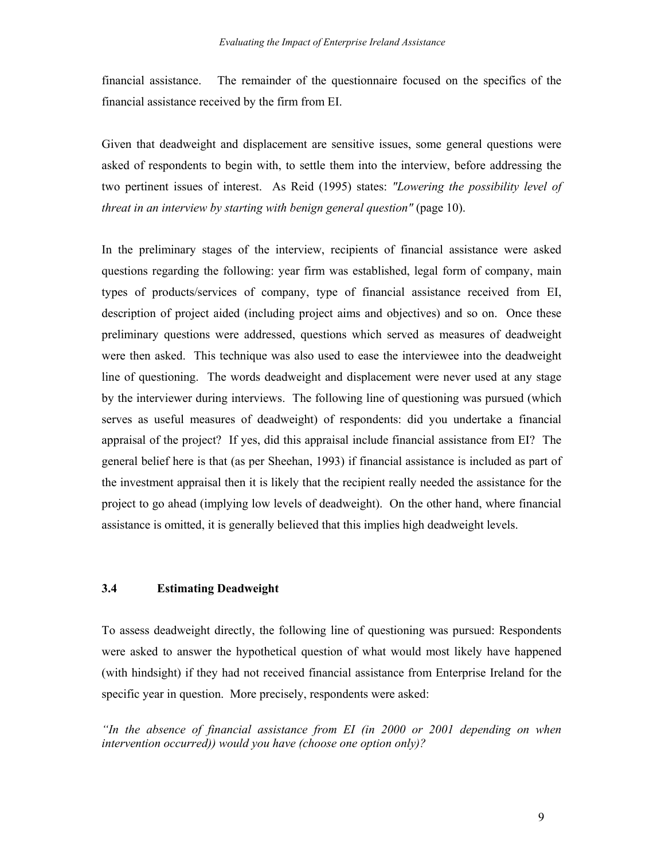financial assistance. The remainder of the questionnaire focused on the specifics of the financial assistance received by the firm from EI.

Given that deadweight and displacement are sensitive issues, some general questions were asked of respondents to begin with, to settle them into the interview, before addressing the two pertinent issues of interest. As Reid (1995) states: *"Lowering the possibility level of threat in an interview by starting with benign general question"* (page 10).

In the preliminary stages of the interview, recipients of financial assistance were asked questions regarding the following: year firm was established, legal form of company, main types of products/services of company, type of financial assistance received from EI, description of project aided (including project aims and objectives) and so on. Once these preliminary questions were addressed, questions which served as measures of deadweight were then asked. This technique was also used to ease the interviewee into the deadweight line of questioning. The words deadweight and displacement were never used at any stage by the interviewer during interviews. The following line of questioning was pursued (which serves as useful measures of deadweight) of respondents: did you undertake a financial appraisal of the project? If yes, did this appraisal include financial assistance from EI? The general belief here is that (as per Sheehan, 1993) if financial assistance is included as part of the investment appraisal then it is likely that the recipient really needed the assistance for the project to go ahead (implying low levels of deadweight). On the other hand, where financial assistance is omitted, it is generally believed that this implies high deadweight levels.

#### **3.4 Estimating Deadweight**

To assess deadweight directly, the following line of questioning was pursued: Respondents were asked to answer the hypothetical question of what would most likely have happened (with hindsight) if they had not received financial assistance from Enterprise Ireland for the specific year in question. More precisely, respondents were asked:

*"In the absence of financial assistance from EI (in 2000 or 2001 depending on when intervention occurred)) would you have (choose one option only)?*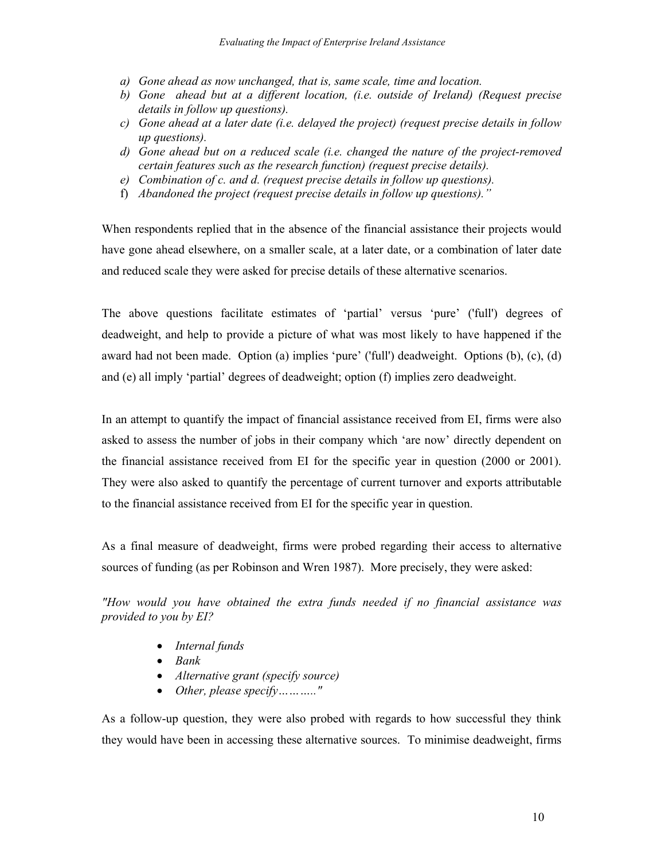- *a) Gone ahead as now unchanged, that is, same scale, time and location.*
- *b) Gone ahead but at a different location, (i.e. outside of Ireland) (Request precise details in follow up questions).*
- *c) Gone ahead at a later date (i.e. delayed the project) (request precise details in follow up questions).*
- *d) Gone ahead but on a reduced scale (i.e. changed the nature of the project-removed certain features such as the research function) (request precise details).*
- *e) Combination of c. and d. (request precise details in follow up questions).*
- f) *Abandoned the project (request precise details in follow up questions)."*

When respondents replied that in the absence of the financial assistance their projects would have gone ahead elsewhere, on a smaller scale, at a later date, or a combination of later date and reduced scale they were asked for precise details of these alternative scenarios.

The above questions facilitate estimates of 'partial' versus 'pure' ('full') degrees of deadweight, and help to provide a picture of what was most likely to have happened if the award had not been made. Option (a) implies 'pure' ('full') deadweight. Options (b), (c), (d) and (e) all imply 'partial' degrees of deadweight; option (f) implies zero deadweight.

In an attempt to quantify the impact of financial assistance received from EI, firms were also asked to assess the number of jobs in their company which 'are now' directly dependent on the financial assistance received from EI for the specific year in question (2000 or 2001). They were also asked to quantify the percentage of current turnover and exports attributable to the financial assistance received from EI for the specific year in question.

As a final measure of deadweight, firms were probed regarding their access to alternative sources of funding (as per Robinson and Wren 1987). More precisely, they were asked:

*"How would you have obtained the extra funds needed if no financial assistance was provided to you by EI?* 

- *Internal funds*
- *Bank*
- *Alternative grant (specify source)*
- *Other, please specify……….."*

As a follow-up question, they were also probed with regards to how successful they think they would have been in accessing these alternative sources. To minimise deadweight, firms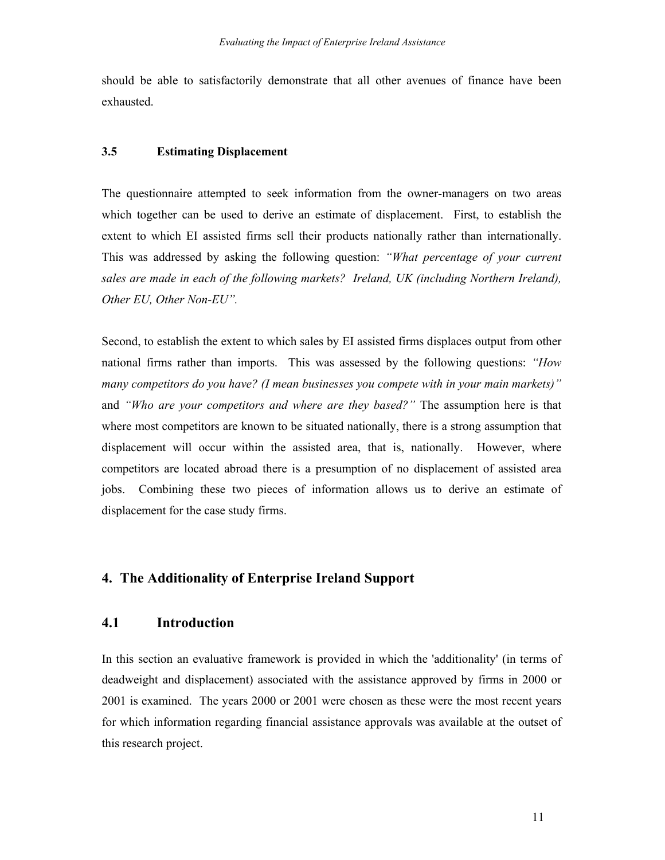should be able to satisfactorily demonstrate that all other avenues of finance have been exhausted.

#### **3.5 Estimating Displacement**

The questionnaire attempted to seek information from the owner-managers on two areas which together can be used to derive an estimate of displacement. First, to establish the extent to which EI assisted firms sell their products nationally rather than internationally. This was addressed by asking the following question: *"What percentage of your current sales are made in each of the following markets? Ireland, UK (including Northern Ireland), Other EU, Other Non-EU".* 

Second, to establish the extent to which sales by EI assisted firms displaces output from other national firms rather than imports. This was assessed by the following questions: *"How many competitors do you have? (I mean businesses you compete with in your main markets)"* and *"Who are your competitors and where are they based?"* The assumption here is that where most competitors are known to be situated nationally, there is a strong assumption that displacement will occur within the assisted area, that is, nationally. However, where competitors are located abroad there is a presumption of no displacement of assisted area jobs. Combining these two pieces of information allows us to derive an estimate of displacement for the case study firms.

## **4. The Additionality of Enterprise Ireland Support**

## **4.1 Introduction**

In this section an evaluative framework is provided in which the 'additionality' (in terms of deadweight and displacement) associated with the assistance approved by firms in 2000 or 2001 is examined. The years 2000 or 2001 were chosen as these were the most recent years for which information regarding financial assistance approvals was available at the outset of this research project.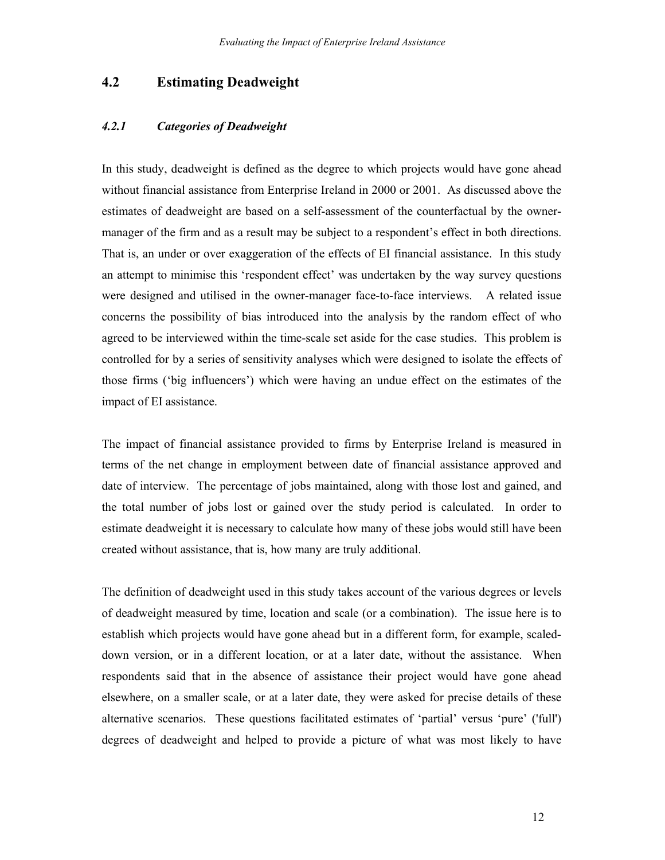## **4.2 Estimating Deadweight**

#### *4.2.1 Categories of Deadweight*

In this study, deadweight is defined as the degree to which projects would have gone ahead without financial assistance from Enterprise Ireland in 2000 or 2001. As discussed above the estimates of deadweight are based on a self-assessment of the counterfactual by the ownermanager of the firm and as a result may be subject to a respondent's effect in both directions. That is, an under or over exaggeration of the effects of EI financial assistance. In this study an attempt to minimise this 'respondent effect' was undertaken by the way survey questions were designed and utilised in the owner-manager face-to-face interviews. A related issue concerns the possibility of bias introduced into the analysis by the random effect of who agreed to be interviewed within the time-scale set aside for the case studies. This problem is controlled for by a series of sensitivity analyses which were designed to isolate the effects of those firms ('big influencers') which were having an undue effect on the estimates of the impact of EI assistance.

The impact of financial assistance provided to firms by Enterprise Ireland is measured in terms of the net change in employment between date of financial assistance approved and date of interview.The percentage of jobs maintained, along with those lost and gained, and the total number of jobs lost or gained over the study period is calculated. In order to estimate deadweight it is necessary to calculate how many of these jobs would still have been created without assistance, that is, how many are truly additional.

The definition of deadweight used in this study takes account of the various degrees or levels of deadweight measured by time, location and scale (or a combination). The issue here is to establish which projects would have gone ahead but in a different form, for example, scaleddown version, or in a different location, or at a later date, without the assistance. When respondents said that in the absence of assistance their project would have gone ahead elsewhere, on a smaller scale, or at a later date, they were asked for precise details of these alternative scenarios. These questions facilitated estimates of 'partial' versus 'pure' ('full') degrees of deadweight and helped to provide a picture of what was most likely to have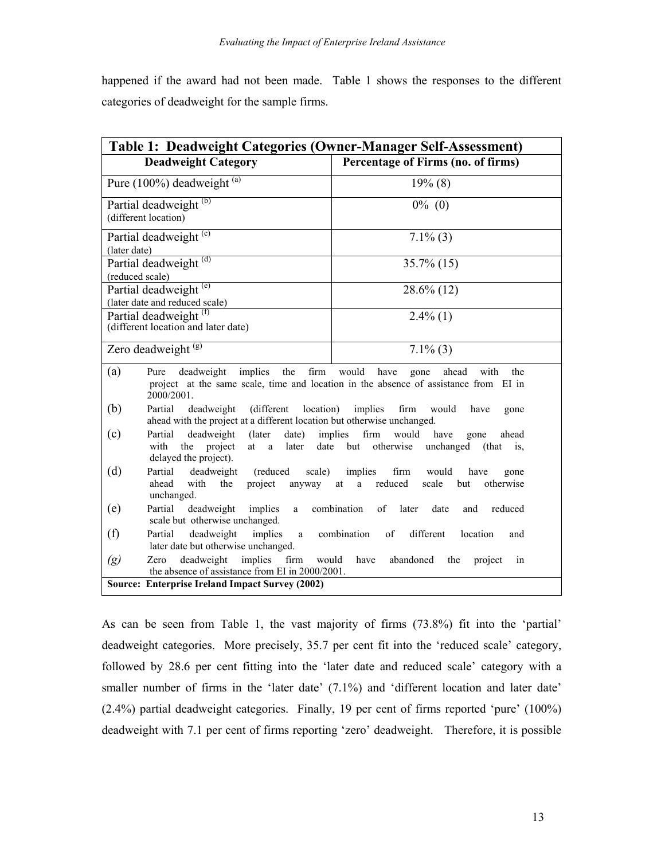happened if the award had not been made. Table 1 shows the responses to the different categories of deadweight for the sample firms.

| <b>Table 1: Deadweight Categories (Owner-Manager Self-Assessment)</b>                                                              |                                                                                                                                       |  |  |  |
|------------------------------------------------------------------------------------------------------------------------------------|---------------------------------------------------------------------------------------------------------------------------------------|--|--|--|
| <b>Deadweight Category</b>                                                                                                         | Percentage of Firms (no. of firms)                                                                                                    |  |  |  |
| Pure (100%) deadweight (a)                                                                                                         | $19\%$ (8)                                                                                                                            |  |  |  |
| Partial deadweight <sup>(b)</sup>                                                                                                  | $0\%$ (0)                                                                                                                             |  |  |  |
| (different location)                                                                                                               |                                                                                                                                       |  |  |  |
| Partial deadweight <sup>(c)</sup><br>(later date)                                                                                  | $7.1\%$ (3)                                                                                                                           |  |  |  |
| Partial deadweight <sup>(d)</sup>                                                                                                  | $35.7\%$ (15)                                                                                                                         |  |  |  |
| (reduced scale)                                                                                                                    |                                                                                                                                       |  |  |  |
| Partial deadweight <sup>(e)</sup><br>(later date and reduced scale)                                                                | $28.6\%$ (12)                                                                                                                         |  |  |  |
| Partial deadweight <sup>(t)</sup>                                                                                                  | $2.4\%$ (1)                                                                                                                           |  |  |  |
| (different location and later date)                                                                                                |                                                                                                                                       |  |  |  |
| Zero deadweight <sup>(g)</sup>                                                                                                     | $7.1\%$ (3)                                                                                                                           |  |  |  |
| (a)<br>the<br>firm<br>deadweight<br>implies<br>Pure<br>2000/2001.                                                                  | would<br>have<br>ahead<br>with<br>gone<br>the<br>project at the same scale, time and location in the absence of assistance from EI in |  |  |  |
| (b)<br>Partial<br>deadweight<br>(different<br>location)<br>ahead with the project at a different location but otherwise unchanged. | implies<br>firm<br>would<br>have<br>gone                                                                                              |  |  |  |
| Partial<br>deadweight<br>(c)<br>(later)<br>date)<br>with<br>the<br>project<br>later<br>at<br>a<br>delayed the project).            | firm<br>implies<br>would<br>have<br>ahead<br>gone<br>date<br>but<br>otherwise<br>unchanged<br>(that)<br>$1S_{\star}$                  |  |  |  |
| (d)<br>Partial<br>deadweight<br>(reduced)<br>scale)<br>ahead<br>with<br>project<br>the<br>anyway<br>unchanged.                     | implies<br>firm<br>would<br>have<br>gone<br>reduced<br>scale<br>but<br>otherwise<br>at<br>a                                           |  |  |  |
| (e)<br>Partial<br>deadweight<br>implies<br>a<br>scale but otherwise unchanged.                                                     | combination<br>of<br>later<br>date<br>reduced<br>and                                                                                  |  |  |  |
| (f)<br>deadweight<br>Partial<br>implies<br>a<br>later date but otherwise unchanged.                                                | combination<br>different<br>of<br>location<br>and                                                                                     |  |  |  |
| deadweight<br>implies<br>$\left( g\right)$<br>firm<br>Zero<br>the absence of assistance from EI in 2000/2001.                      | would<br>have<br>abandoned<br>the<br>project<br>1n                                                                                    |  |  |  |
| <b>Source: Enterprise Ireland Impact Survey (2002)</b>                                                                             |                                                                                                                                       |  |  |  |

As can be seen from Table 1, the vast majority of firms (73.8%) fit into the 'partial' deadweight categories. More precisely, 35.7 per cent fit into the 'reduced scale' category, followed by 28.6 per cent fitting into the 'later date and reduced scale' category with a smaller number of firms in the 'later date' (7.1%) and 'different location and later date' (2.4%) partial deadweight categories. Finally, 19 per cent of firms reported 'pure' (100%) deadweight with 7.1 per cent of firms reporting 'zero' deadweight. Therefore, it is possible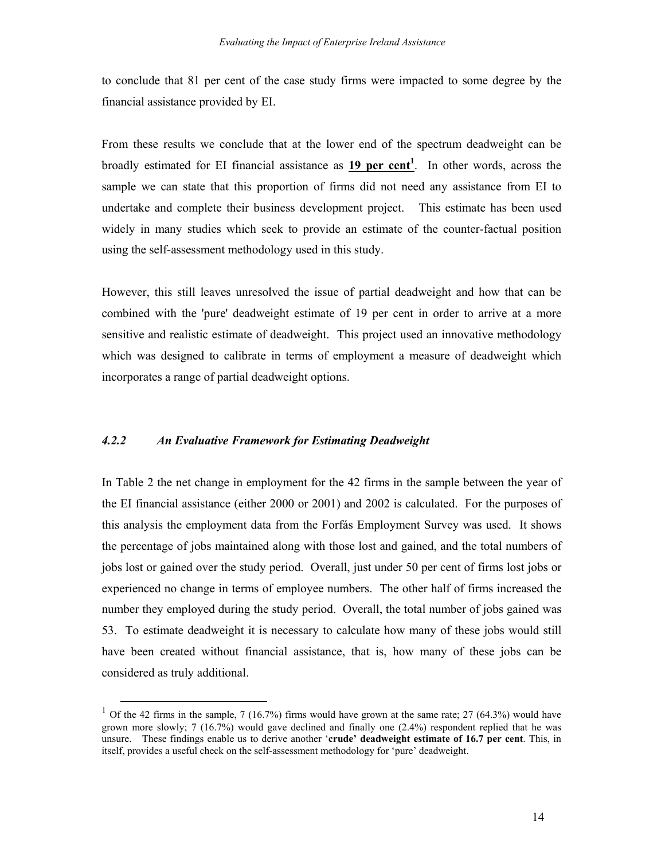to conclude that 81 per cent of the case study firms were impacted to some degree by the financial assistance provided by EI.

From these results we conclude that at the lower end of the spectrum deadweight can be broadly estimated for EI financial assistance as **19 per cent<sup>1</sup>**. In other words, across the sample we can state that this proportion of firms did not need any assistance from EI to undertake and complete their business development project. This estimate has been used widely in many studies which seek to provide an estimate of the counter-factual position using the self-assessment methodology used in this study.

However, this still leaves unresolved the issue of partial deadweight and how that can be combined with the 'pure' deadweight estimate of 19 per cent in order to arrive at a more sensitive and realistic estimate of deadweight. This project used an innovative methodology which was designed to calibrate in terms of employment a measure of deadweight which incorporates a range of partial deadweight options.

#### *4.2.2 An Evaluative Framework for Estimating Deadweight*

In Table 2 the net change in employment for the 42 firms in the sample between the year of the EI financial assistance (either 2000 or 2001) and 2002 is calculated. For the purposes of this analysis the employment data from the Forfás Employment Survey was used. It shows the percentage of jobs maintained along with those lost and gained, and the total numbers of jobs lost or gained over the study period. Overall, just under 50 per cent of firms lost jobs or experienced no change in terms of employee numbers. The other half of firms increased the number they employed during the study period. Overall, the total number of jobs gained was 53. To estimate deadweight it is necessary to calculate how many of these jobs would still have been created without financial assistance, that is, how many of these jobs can be considered as truly additional.

<sup>&</sup>lt;sup>1</sup> Of the 42 firms in the sample, 7 (16.7%) firms would have grown at the same rate; 27 (64.3%) would have grown more slowly; 7 (16.7%) would gave declined and finally one (2.4%) respondent replied that he was unsure. These findings enable us to derive another '**crude' deadweight estimate of 16.7 per cent**. This, in itself, provides a useful check on the self-assessment methodology for 'pure' deadweight.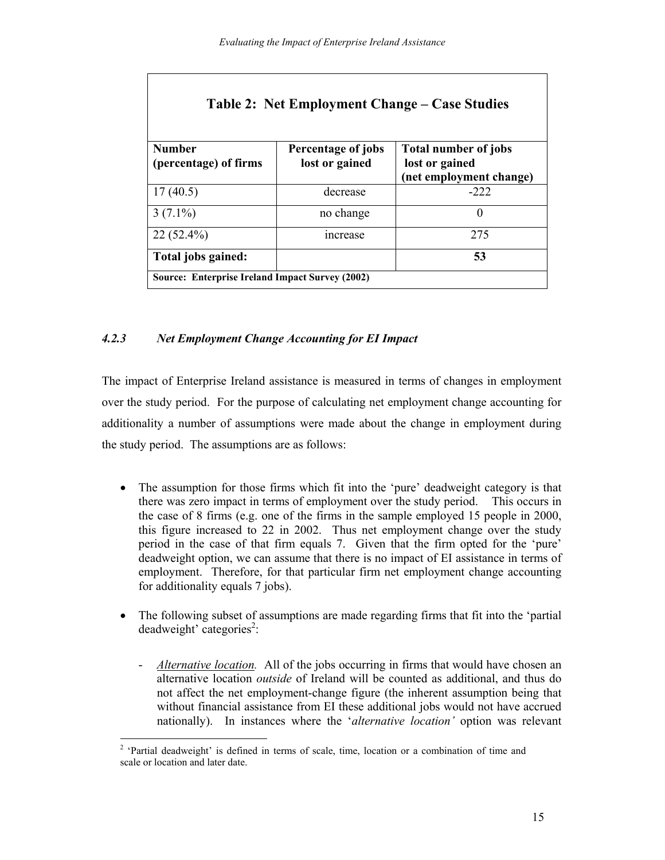| Table 2: Net Employment Change – Case Studies          |                    |                                           |  |  |  |
|--------------------------------------------------------|--------------------|-------------------------------------------|--|--|--|
| <b>Number</b>                                          | Percentage of jobs | <b>Total number of jobs</b>               |  |  |  |
| (percentage) of firms                                  | lost or gained     | lost or gained<br>(net employment change) |  |  |  |
| 17(40.5)                                               | decrease           | $-222$                                    |  |  |  |
| $3(7.1\%)$                                             | no change          | 0                                         |  |  |  |
| $22(52.4\%)$                                           | <i>ncrease</i>     | 275                                       |  |  |  |
| Total jobs gained:                                     |                    | 53                                        |  |  |  |
| <b>Source: Enterprise Ireland Impact Survey (2002)</b> |                    |                                           |  |  |  |

## *4.2.3 Net Employment Change Accounting for EI Impact*

The impact of Enterprise Ireland assistance is measured in terms of changes in employment over the study period. For the purpose of calculating net employment change accounting for additionality a number of assumptions were made about the change in employment during the study period. The assumptions are as follows:

- The assumption for those firms which fit into the 'pure' deadweight category is that there was zero impact in terms of employment over the study period. This occurs in the case of 8 firms (e.g. one of the firms in the sample employed 15 people in 2000, this figure increased to 22 in 2002. Thus net employment change over the study period in the case of that firm equals 7. Given that the firm opted for the 'pure' deadweight option, we can assume that there is no impact of EI assistance in terms of employment. Therefore, for that particular firm net employment change accounting for additionality equals 7 jobs).
- The following subset of assumptions are made regarding firms that fit into the 'partial  $deadweight'$  categories<sup>2</sup>:
	- *Alternative location.* All of the jobs occurring in firms that would have chosen an alternative location *outside* of Ireland will be counted as additional, and thus do not affect the net employment-change figure (the inherent assumption being that without financial assistance from EI these additional jobs would not have accrued nationally). In instances where the '*alternative location'* option was relevant

<sup>&</sup>lt;sup>2</sup> 'Partial deadweight' is defined in terms of scale, time, location or a combination of time and scale or location and later date.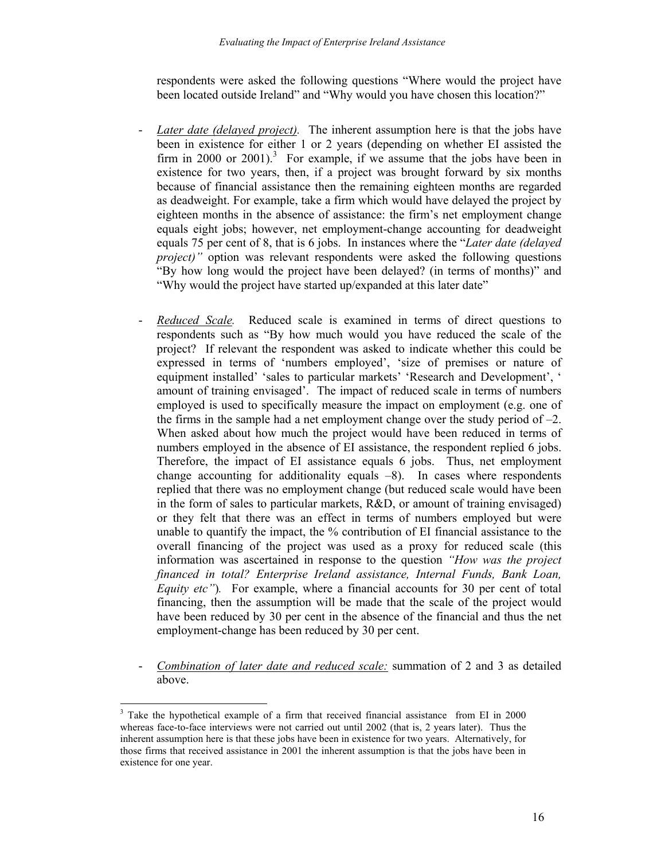respondents were asked the following questions "Where would the project have been located outside Ireland" and "Why would you have chosen this location?"

- *Later date (delayed project).* The inherent assumption here is that the jobs have been in existence for either 1 or 2 years (depending on whether EI assisted the firm in 2000 or 2001).<sup>3</sup> For example, if we assume that the jobs have been in existence for two years, then, if a project was brought forward by six months because of financial assistance then the remaining eighteen months are regarded as deadweight. For example, take a firm which would have delayed the project by eighteen months in the absence of assistance: the firm's net employment change equals eight jobs; however, net employment-change accounting for deadweight equals 75 per cent of 8, that is 6 jobs. In instances where the "*Later date (delayed project*)" option was relevant respondents were asked the following questions "By how long would the project have been delayed? (in terms of months)" and "Why would the project have started up/expanded at this later date"
- *Reduced Scale.* Reduced scale is examined in terms of direct questions to respondents such as "By how much would you have reduced the scale of the project? If relevant the respondent was asked to indicate whether this could be expressed in terms of 'numbers employed', 'size of premises or nature of equipment installed' 'sales to particular markets' 'Research and Development', ' amount of training envisaged'. The impact of reduced scale in terms of numbers employed is used to specifically measure the impact on employment (e.g. one of the firms in the sample had a net employment change over the study period of –2. When asked about how much the project would have been reduced in terms of numbers employed in the absence of EI assistance, the respondent replied 6 jobs. Therefore, the impact of EI assistance equals 6 jobs. Thus, net employment change accounting for additionality equals  $-8$ ). In cases where respondents replied that there was no employment change (but reduced scale would have been in the form of sales to particular markets, R&D, or amount of training envisaged) or they felt that there was an effect in terms of numbers employed but were unable to quantify the impact, the % contribution of EI financial assistance to the overall financing of the project was used as a proxy for reduced scale (this information was ascertained in response to the question *"How was the project financed in total? Enterprise Ireland assistance, Internal Funds, Bank Loan, Equity etc"*). For example, where a financial accounts for 30 per cent of total financing, then the assumption will be made that the scale of the project would have been reduced by 30 per cent in the absence of the financial and thus the net employment-change has been reduced by 30 per cent.
- *Combination of later date and reduced scale:* summation of 2 and 3 as detailed above.

<sup>&</sup>lt;sup>3</sup> Take the hypothetical example of a firm that received financial assistance from EI in 2000 whereas face-to-face interviews were not carried out until 2002 (that is, 2 years later). Thus the inherent assumption here is that these jobs have been in existence for two years. Alternatively, for those firms that received assistance in 2001 the inherent assumption is that the jobs have been in existence for one year.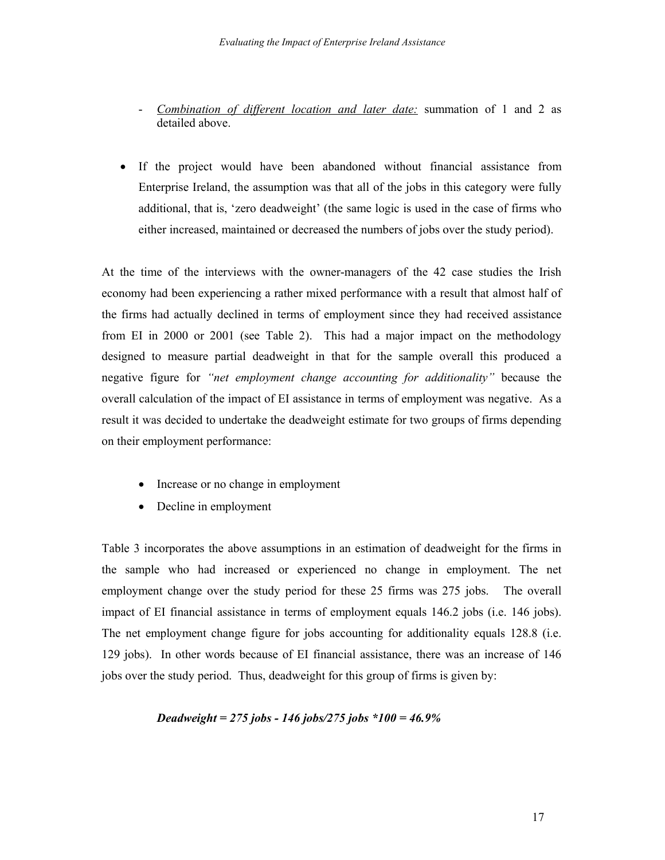- *Combination of different location and later date:* summation of 1 and 2 as detailed above.
- If the project would have been abandoned without financial assistance from Enterprise Ireland, the assumption was that all of the jobs in this category were fully additional, that is, 'zero deadweight' (the same logic is used in the case of firms who either increased, maintained or decreased the numbers of jobs over the study period).

At the time of the interviews with the owner-managers of the 42 case studies the Irish economy had been experiencing a rather mixed performance with a result that almost half of the firms had actually declined in terms of employment since they had received assistance from EI in 2000 or 2001 (see Table 2). This had a major impact on the methodology designed to measure partial deadweight in that for the sample overall this produced a negative figure for *"net employment change accounting for additionality"* because the overall calculation of the impact of EI assistance in terms of employment was negative. As a result it was decided to undertake the deadweight estimate for two groups of firms depending on their employment performance:

- Increase or no change in employment
- Decline in employment

Table 3 incorporates the above assumptions in an estimation of deadweight for the firms in the sample who had increased or experienced no change in employment. The net employment change over the study period for these 25 firms was 275 jobs. The overall impact of EI financial assistance in terms of employment equals 146.2 jobs (i.e. 146 jobs). The net employment change figure for jobs accounting for additionality equals 128.8 (i.e. 129 jobs). In other words because of EI financial assistance, there was an increase of 146 jobs over the study period. Thus, deadweight for this group of firms is given by:

## *Deadweight = 275 jobs - 146 jobs/275 jobs \*100 = 46.9%*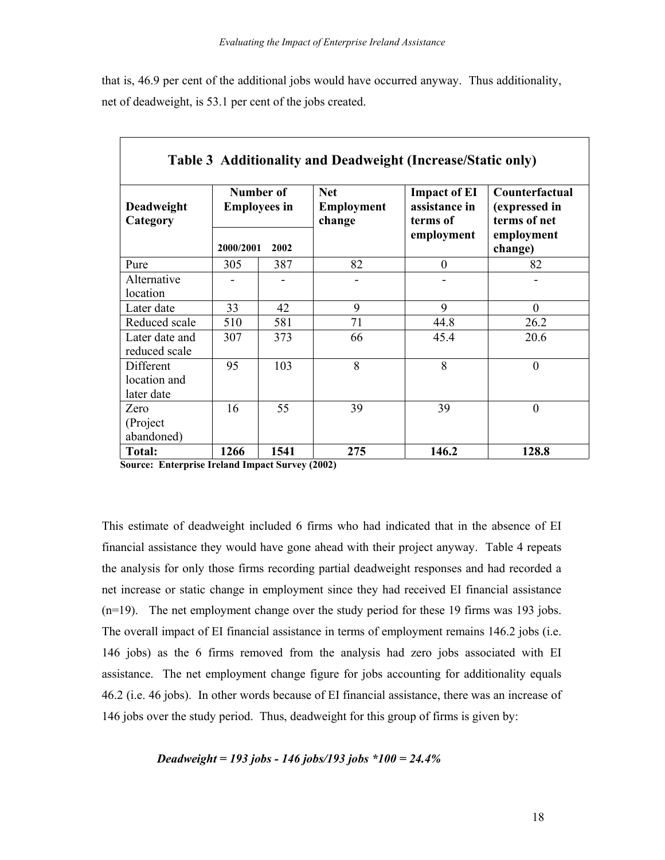that is, 46.9 per cent of the additional jobs would have occurred anyway. Thus additionality, net of deadweight, is 53.1 per cent of the jobs created.

| Deadweight<br>Category                  | Number of<br><b>Employees in</b> |      | <b>Net</b><br><b>Employment</b><br>change | <b>Impact of EI</b><br>assistance in<br>terms of | Counterfactual<br>(expressed in<br>terms of net |  |
|-----------------------------------------|----------------------------------|------|-------------------------------------------|--------------------------------------------------|-------------------------------------------------|--|
|                                         | 2000/2001                        | 2002 |                                           | employment                                       | employment<br>change)                           |  |
| Pure                                    | 305                              | 387  | 82                                        | $\boldsymbol{0}$                                 | 82                                              |  |
| Alternative<br>location                 |                                  |      |                                           |                                                  |                                                 |  |
| Later date                              | 33                               | 42   | 9                                         | 9                                                | $\overline{0}$                                  |  |
| Reduced scale                           | 510                              | 581  | 71                                        | 44.8                                             | 26.2                                            |  |
| Later date and<br>reduced scale         | 307                              | 373  | 66                                        | 45.4                                             | 20.6                                            |  |
| Different<br>location and<br>later date | 95                               | 103  | 8                                         | 8                                                | $\overline{0}$                                  |  |
| Zero<br>(Project<br>abandoned)          | 16                               | 55   | 39                                        | 39                                               | $\overline{0}$                                  |  |
| Total:                                  | 1266                             | 1541 | 275                                       | 146.2                                            | 128.8                                           |  |

**Source: Enterprise Ireland Impact Survey (2002)**

This estimate of deadweight included 6 firms who had indicated that in the absence of EI financial assistance they would have gone ahead with their project anyway. Table 4 repeats the analysis for only those firms recording partial deadweight responses and had recorded a net increase or static change in employment since they had received EI financial assistance (n=19). The net employment change over the study period for these 19 firms was 193 jobs. The overall impact of EI financial assistance in terms of employment remains 146.2 jobs (i.e. 146 jobs) as the 6 firms removed from the analysis had zero jobs associated with EI assistance. The net employment change figure for jobs accounting for additionality equals 46.2 (i.e. 46 jobs). In other words because of EI financial assistance, there was an increase of 146 jobs over the study period. Thus, deadweight for this group of firms is given by:

#### *Deadweight = 193 jobs - 146 jobs/193 jobs \*100 = 24.4%*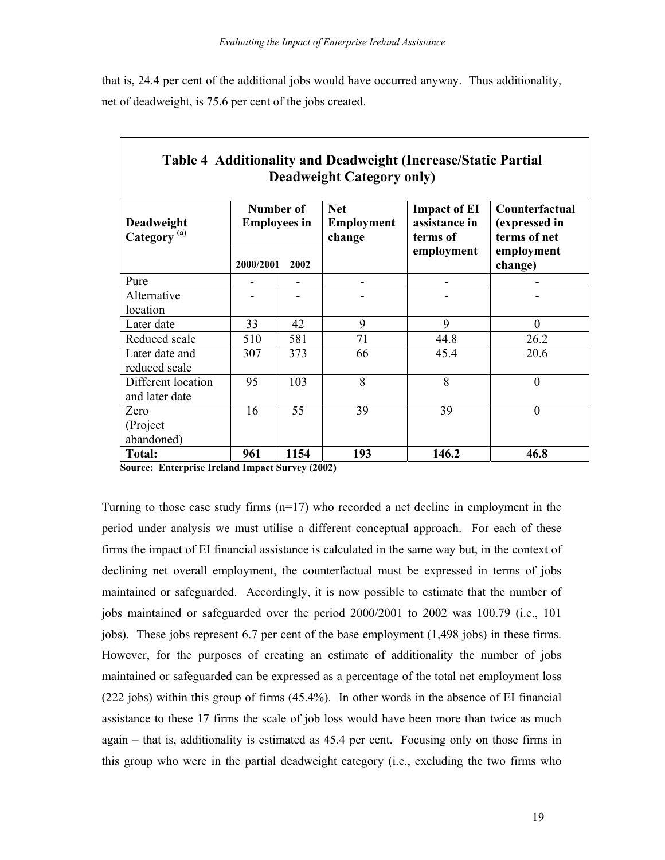that is, 24.4 per cent of the additional jobs would have occurred anyway. Thus additionality, net of deadweight, is 75.6 per cent of the jobs created.

| тарк – тааниланд ана всаамсідні (тистемогранст атнаг<br><b>Deadweight Category only)</b> |                                               |                              |                                           |                                                                |                                                                          |  |  |
|------------------------------------------------------------------------------------------|-----------------------------------------------|------------------------------|-------------------------------------------|----------------------------------------------------------------|--------------------------------------------------------------------------|--|--|
| Deadweight<br>Category <sup>(a)</sup>                                                    | Number of<br><b>Employees in</b><br>2000/2001 | 2002                         | <b>Net</b><br><b>Employment</b><br>change | <b>Impact of EI</b><br>assistance in<br>terms of<br>employment | Counterfactual<br>(expressed in<br>terms of net<br>employment<br>change) |  |  |
| Pure                                                                                     |                                               | $\qquad \qquad \blacksquare$ |                                           |                                                                |                                                                          |  |  |
| Alternative<br>location                                                                  |                                               |                              |                                           |                                                                |                                                                          |  |  |
| Later date                                                                               | 33                                            | 42                           | 9                                         | 9                                                              | $\overline{0}$                                                           |  |  |
| Reduced scale                                                                            | 510                                           | 581                          | 71                                        | 44.8                                                           | 26.2                                                                     |  |  |
| Later date and<br>reduced scale                                                          | 307                                           | 373                          | 66                                        | 45.4                                                           | 20.6                                                                     |  |  |
| Different location<br>and later date                                                     | 95                                            | 103                          | 8                                         | 8                                                              | $\overline{0}$                                                           |  |  |
| Zero<br>(Project)<br>abandoned)                                                          | 16                                            | 55                           | 39                                        | 39                                                             | $\overline{0}$                                                           |  |  |
| Total:                                                                                   | 961                                           | 1154                         | 193                                       | 146.2                                                          | 46.8                                                                     |  |  |

**Table 4 Additionality and Deadweight (Increase/Static Partial** 

**Source: Enterprise Ireland Impact Survey (2002)**

Turning to those case study firms  $(n=17)$  who recorded a net decline in employment in the period under analysis we must utilise a different conceptual approach. For each of these firms the impact of EI financial assistance is calculated in the same way but, in the context of declining net overall employment, the counterfactual must be expressed in terms of jobs maintained or safeguarded. Accordingly, it is now possible to estimate that the number of jobs maintained or safeguarded over the period 2000/2001 to 2002 was 100.79 (i.e., 101 jobs). These jobs represent 6.7 per cent of the base employment (1,498 jobs) in these firms. However, for the purposes of creating an estimate of additionality the number of jobs maintained or safeguarded can be expressed as a percentage of the total net employment loss (222 jobs) within this group of firms (45.4%). In other words in the absence of EI financial assistance to these 17 firms the scale of job loss would have been more than twice as much again – that is, additionality is estimated as 45.4 per cent. Focusing only on those firms in this group who were in the partial deadweight category (i.e., excluding the two firms who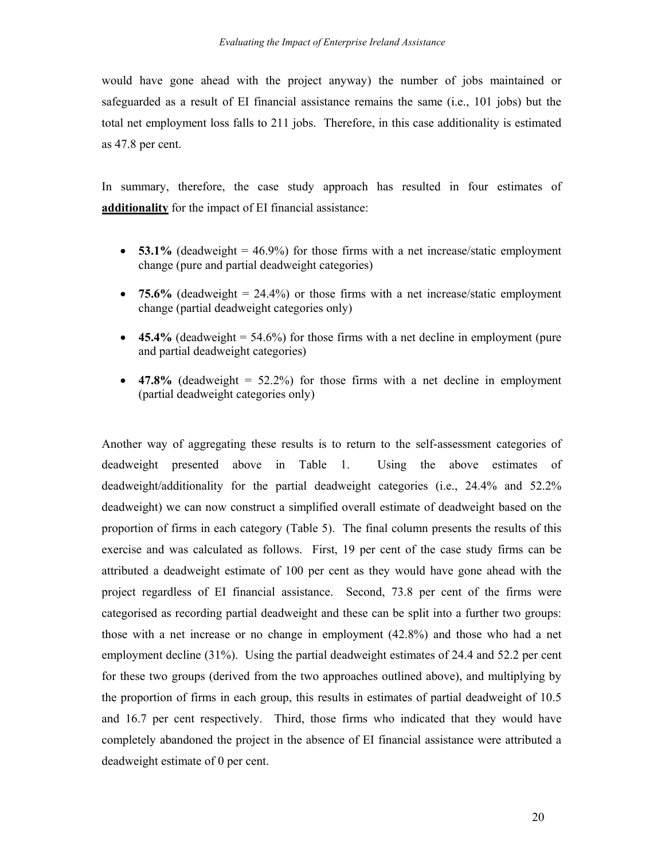would have gone ahead with the project anyway) the number of jobs maintained or safeguarded as a result of EI financial assistance remains the same (i.e., 101 jobs) but the total net employment loss falls to 211 jobs. Therefore, in this case additionality is estimated as 47.8 per cent.

In summary, therefore, the case study approach has resulted in four estimates of **additionality** for the impact of EI financial assistance:

- **53.1%** (deadweight  $= 46.9\%$ ) for those firms with a net increase/static employment change (pure and partial deadweight categories)
- **75.6%** (deadweight  $= 24.4\%$ ) or those firms with a net increase/static employment change (partial deadweight categories only)
- $\bullet$  **45.4%** (deadweight = 54.6%) for those firms with a net decline in employment (pure and partial deadweight categories)
- **47.8%** (deadweight  $= 52.2\%$ ) for those firms with a net decline in employment (partial deadweight categories only)

Another way of aggregating these results is to return to the self-assessment categories of deadweight presented above in Table 1. Using the above estimates of deadweight/additionality for the partial deadweight categories (i.e., 24.4% and 52.2% deadweight) we can now construct a simplified overall estimate of deadweight based on the proportion of firms in each category (Table 5). The final column presents the results of this exercise and was calculated as follows. First, 19 per cent of the case study firms can be attributed a deadweight estimate of 100 per cent as they would have gone ahead with the project regardless of EI financial assistance. Second, 73.8 per cent of the firms were categorised as recording partial deadweight and these can be split into a further two groups: those with a net increase or no change in employment (42.8%) and those who had a net employment decline (31%). Using the partial deadweight estimates of 24.4 and 52.2 per cent for these two groups (derived from the two approaches outlined above), and multiplying by the proportion of firms in each group, this results in estimates of partial deadweight of 10.5 and 16.7 per cent respectively. Third, those firms who indicated that they would have completely abandoned the project in the absence of EI financial assistance were attributed a deadweight estimate of 0 per cent.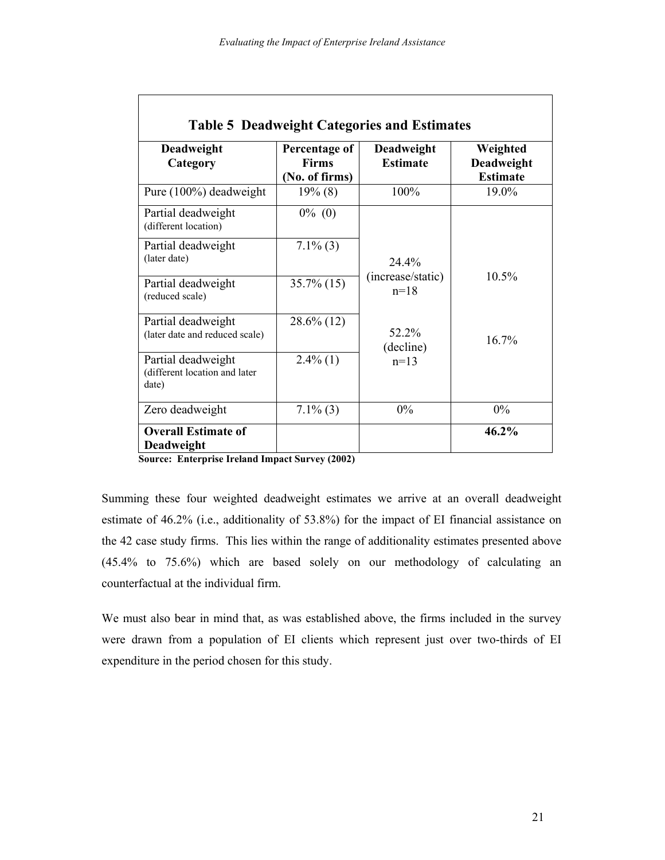| Deadweight<br>Category                                       | Percentage of<br><b>Firms</b><br>(No. of firms) | Deadweight<br><b>Estimate</b> | Weighted<br>Deadweight<br><b>Estimate</b> |
|--------------------------------------------------------------|-------------------------------------------------|-------------------------------|-------------------------------------------|
| Pure (100%) deadweight                                       | $19\%$ (8)                                      | 100%                          | 19.0%                                     |
| Partial deadweight<br>(different location)                   | $0\%$ (0)                                       |                               |                                           |
| Partial deadweight<br>(later date)                           | $7.1\%$ (3)                                     | 24.4%                         |                                           |
| Partial deadweight<br>(reduced scale)                        | $35.7\%$ (15)                                   | (increase/static)<br>$n=18$   | 10.5%                                     |
| Partial deadweight<br>(later date and reduced scale)         | $28.6\%$ (12)                                   | 52.2%<br>(decline)            | 16.7%                                     |
| Partial deadweight<br>(different location and later<br>date) | $2.4\%$ (1)                                     | $n=13$                        |                                           |
| Zero deadweight                                              | $7.1\%$ (3)                                     | 0%                            | $0\%$                                     |
| <b>Overall Estimate of</b><br><b>Deadweight</b>              |                                                 |                               | 46.2%                                     |

**Source: Enterprise Ireland Impact Survey (2002)**

Summing these four weighted deadweight estimates we arrive at an overall deadweight estimate of 46.2% (i.e., additionality of 53.8%) for the impact of EI financial assistance on the 42 case study firms. This lies within the range of additionality estimates presented above (45.4% to 75.6%) which are based solely on our methodology of calculating an counterfactual at the individual firm.

We must also bear in mind that, as was established above, the firms included in the survey were drawn from a population of EI clients which represent just over two-thirds of EI expenditure in the period chosen for this study.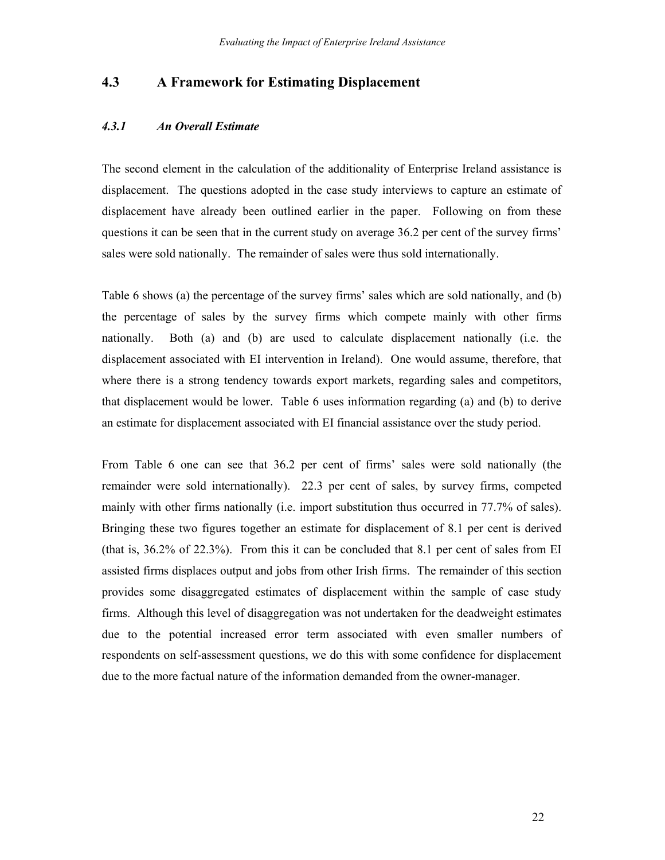## **4.3 A Framework for Estimating Displacement**

#### *4.3.1 An Overall Estimate*

The second element in the calculation of the additionality of Enterprise Ireland assistance is displacement. The questions adopted in the case study interviews to capture an estimate of displacement have already been outlined earlier in the paper. Following on from these questions it can be seen that in the current study on average 36.2 per cent of the survey firms' sales were sold nationally. The remainder of sales were thus sold internationally.

Table 6 shows (a) the percentage of the survey firms' sales which are sold nationally, and (b) the percentage of sales by the survey firms which compete mainly with other firms nationally. Both (a) and (b) are used to calculate displacement nationally (i.e. the displacement associated with EI intervention in Ireland). One would assume, therefore, that where there is a strong tendency towards export markets, regarding sales and competitors, that displacement would be lower. Table 6 uses information regarding (a) and (b) to derive an estimate for displacement associated with EI financial assistance over the study period.

From Table 6 one can see that 36.2 per cent of firms' sales were sold nationally (the remainder were sold internationally). 22.3 per cent of sales, by survey firms, competed mainly with other firms nationally (i.e. import substitution thus occurred in 77.7% of sales). Bringing these two figures together an estimate for displacement of 8.1 per cent is derived (that is, 36.2% of 22.3%). From this it can be concluded that 8.1 per cent of sales from EI assisted firms displaces output and jobs from other Irish firms. The remainder of this section provides some disaggregated estimates of displacement within the sample of case study firms. Although this level of disaggregation was not undertaken for the deadweight estimates due to the potential increased error term associated with even smaller numbers of respondents on self-assessment questions, we do this with some confidence for displacement due to the more factual nature of the information demanded from the owner-manager.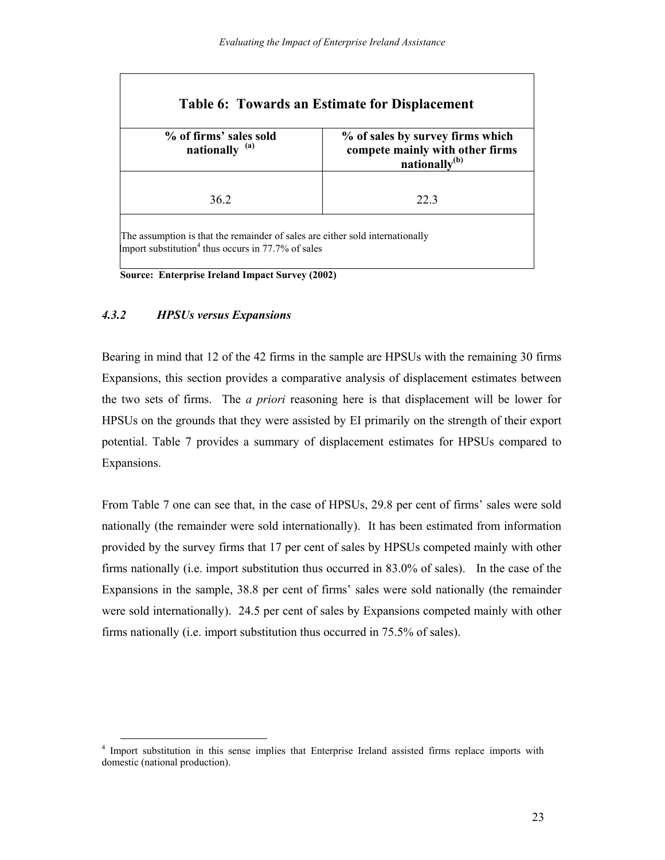| % of firms' sales sold<br>nationally <sup>(a)</sup> | % of sales by survey firms which<br>compete mainly with other firms<br>nationally <sup>(b)</sup> |
|-----------------------------------------------------|--------------------------------------------------------------------------------------------------|
| 362                                                 | 223                                                                                              |

**Source: Enterprise Ireland Impact Survey (2002)**

#### *4.3.2 HPSUs versus Expansions*

Bearing in mind that 12 of the 42 firms in the sample are HPSUs with the remaining 30 firms Expansions, this section provides a comparative analysis of displacement estimates between the two sets of firms. The *a priori* reasoning here is that displacement will be lower for HPSUs on the grounds that they were assisted by EI primarily on the strength of their export potential. Table 7 provides a summary of displacement estimates for HPSUs compared to Expansions.

From Table 7 one can see that, in the case of HPSUs, 29.8 per cent of firms' sales were sold nationally (the remainder were sold internationally). It has been estimated from information provided by the survey firms that 17 per cent of sales by HPSUs competed mainly with other firms nationally (i.e. import substitution thus occurred in 83.0% of sales). In the case of the Expansions in the sample, 38.8 per cent of firms' sales were sold nationally (the remainder were sold internationally). 24.5 per cent of sales by Expansions competed mainly with other firms nationally (i.e. import substitution thus occurred in 75.5% of sales).

<sup>&</sup>lt;sup>4</sup> Import substitution in this sense implies that Enterprise Ireland assisted firms replace imports with domestic (national production).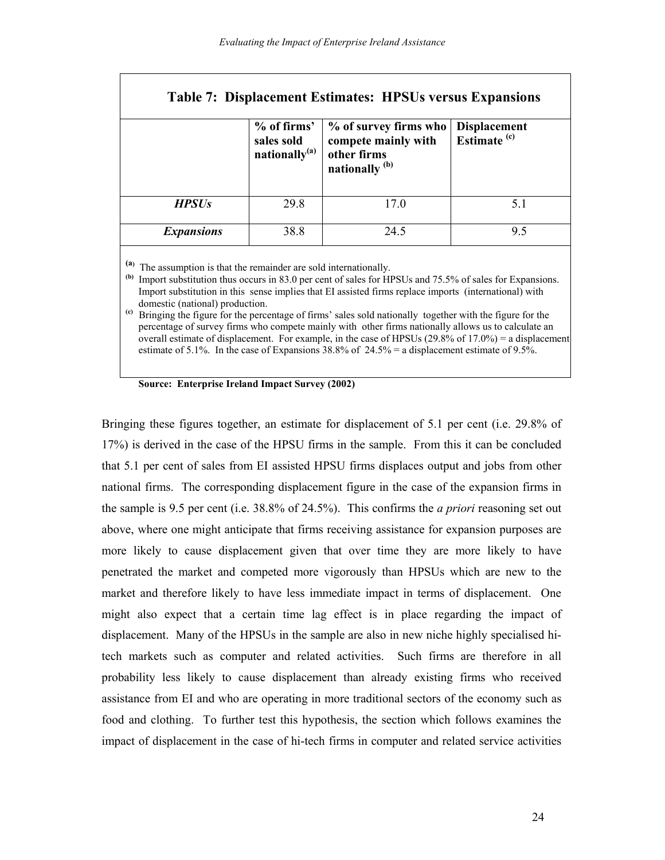|                   | % of firms'<br>sales sold<br>nationally $^{(a)}$ | <b>Table 7: Displacement Estimates: HPSUs versus Expansions</b><br>% of survey firms who<br>compete mainly with<br>other firms<br>nationally <sup>(b)</sup> | <b>Displacement</b><br>Estimate <sup>(c)</sup> |
|-------------------|--------------------------------------------------|-------------------------------------------------------------------------------------------------------------------------------------------------------------|------------------------------------------------|
| <b>HPSUs</b>      | 29.8                                             | 17.0                                                                                                                                                        | 51                                             |
| <b>Expansions</b> | 38.8                                             | 24.5                                                                                                                                                        | 95                                             |

**(a)** The assumption is that the remainder are sold internationally.

**(b)** Import substitution thus occurs in 83.0 per cent of sales for HPSUs and 75.5% of sales for Expansions. Import substitution in this sense implies that EI assisted firms replace imports (international) with domestic (national) production.

**(c)** Bringing the figure for the percentage of firms' sales sold nationally together with the figure for the percentage of survey firms who compete mainly with other firms nationally allows us to calculate an overall estimate of displacement. For example, in the case of HPSUs  $(29.8\% \text{ of } 17.0\%) = \text{a displacement}$ estimate of 5.1%. In the case of Expansions 38.8% of  $24.5\%$  = a displacement estimate of 9.5%.

|  | <b>Source: Enterprise Ireland Impact Survey (2002)</b> |  |  |  |  |
|--|--------------------------------------------------------|--|--|--|--|
|--|--------------------------------------------------------|--|--|--|--|

Bringing these figures together, an estimate for displacement of 5.1 per cent (i.e. 29.8% of 17%) is derived in the case of the HPSU firms in the sample. From this it can be concluded that 5.1 per cent of sales from EI assisted HPSU firms displaces output and jobs from other national firms. The corresponding displacement figure in the case of the expansion firms in the sample is 9.5 per cent (i.e. 38.8% of 24.5%). This confirms the *a priori* reasoning set out above, where one might anticipate that firms receiving assistance for expansion purposes are more likely to cause displacement given that over time they are more likely to have penetrated the market and competed more vigorously than HPSUs which are new to the market and therefore likely to have less immediate impact in terms of displacement. One might also expect that a certain time lag effect is in place regarding the impact of displacement. Many of the HPSUs in the sample are also in new niche highly specialised hitech markets such as computer and related activities. Such firms are therefore in all probability less likely to cause displacement than already existing firms who received assistance from EI and who are operating in more traditional sectors of the economy such as food and clothing. To further test this hypothesis, the section which follows examines the impact of displacement in the case of hi-tech firms in computer and related service activities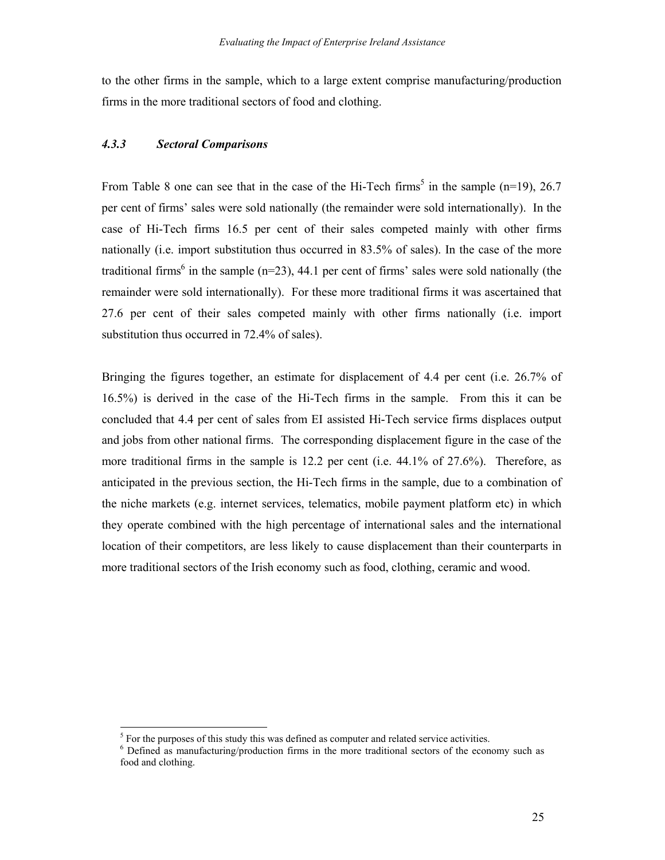to the other firms in the sample, which to a large extent comprise manufacturing/production firms in the more traditional sectors of food and clothing.

#### *4.3.3 Sectoral Comparisons*

 $\overline{a}$ 

From Table 8 one can see that in the case of the Hi-Tech firms<sup>5</sup> in the sample (n=19), 26.7 per cent of firms' sales were sold nationally (the remainder were sold internationally). In the case of Hi-Tech firms 16.5 per cent of their sales competed mainly with other firms nationally (i.e. import substitution thus occurred in 83.5% of sales). In the case of the more traditional firms<sup>6</sup> in the sample ( $n=23$ ), 44.1 per cent of firms' sales were sold nationally (the remainder were sold internationally). For these more traditional firms it was ascertained that 27.6 per cent of their sales competed mainly with other firms nationally (i.e. import substitution thus occurred in 72.4% of sales).

Bringing the figures together, an estimate for displacement of 4.4 per cent (i.e. 26.7% of 16.5%) is derived in the case of the Hi-Tech firms in the sample. From this it can be concluded that 4.4 per cent of sales from EI assisted Hi-Tech service firms displaces output and jobs from other national firms. The corresponding displacement figure in the case of the more traditional firms in the sample is 12.2 per cent (i.e. 44.1% of 27.6%). Therefore, as anticipated in the previous section, the Hi-Tech firms in the sample, due to a combination of the niche markets (e.g. internet services, telematics, mobile payment platform etc) in which they operate combined with the high percentage of international sales and the international location of their competitors, are less likely to cause displacement than their counterparts in more traditional sectors of the Irish economy such as food, clothing, ceramic and wood.

 $<sup>5</sup>$  For the purposes of this study this was defined as computer and related service activities.</sup>

<sup>&</sup>lt;sup>6</sup> Defined as manufacturing/production firms in the more traditional sectors of the economy such as food and clothing.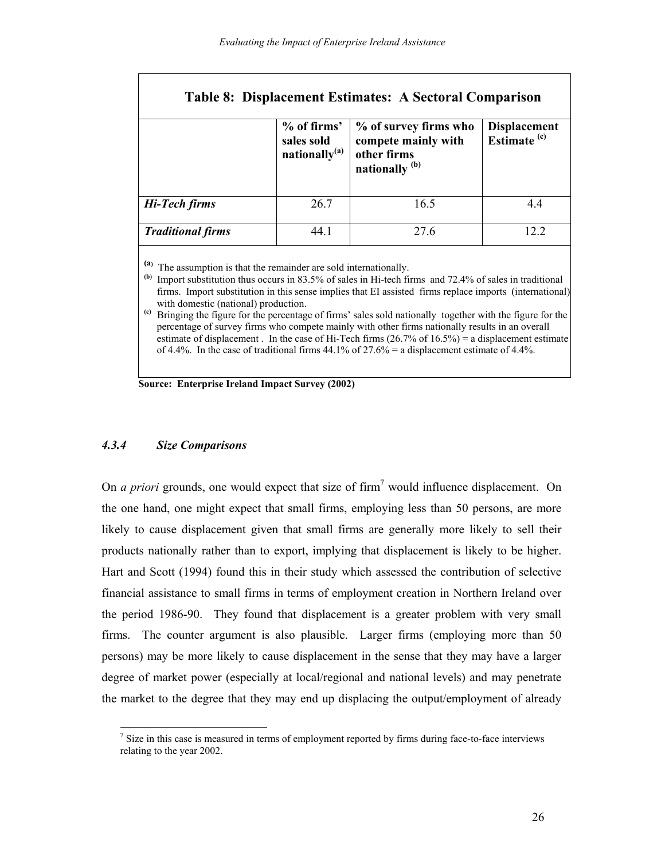| <b>Table 8: Displacement Estimates: A Sectoral Comparison</b> |                                                        |                                                                                          |                                         |  |  |
|---------------------------------------------------------------|--------------------------------------------------------|------------------------------------------------------------------------------------------|-----------------------------------------|--|--|
|                                                               | % of firms'<br>sales sold<br>nationally <sup>(a)</sup> | % of survey firms who<br>compete mainly with<br>other firms<br>nationally <sup>(b)</sup> | Displacement<br>Estimate <sup>(c)</sup> |  |  |
| Hi-Tech firms                                                 | 26.7                                                   | 16.5                                                                                     | 4.4                                     |  |  |
| <b>Traditional firms</b>                                      | 44.1                                                   | 27.6                                                                                     | 12.2                                    |  |  |

**(a)** The assumption is that the remainder are sold internationally.

**(b)** Import substitution thus occurs in 83.5% of sales in Hi-tech firms and 72.4% of sales in traditional firms. Import substitution in this sense implies that EI assisted firms replace imports (international) with domestic (national) production.

**(c)** Bringing the figure for the percentage of firms' sales sold nationally together with the figure for the percentage of survey firms who compete mainly with other firms nationally results in an overall estimate of displacement. In the case of Hi-Tech firms  $(26.7\% \text{ of } 16.5\%) = \text{a displacement estimate}$ of 4.4%. In the case of traditional firms  $44.1\%$  of  $27.6\%$  = a displacement estimate of 4.4%.

**Source: Enterprise Ireland Impact Survey (2002)**

#### *4.3.4 Size Comparisons*

 $\overline{a}$ 

On *a priori* grounds, one would expect that size of firm<sup>7</sup> would influence displacement. On the one hand, one might expect that small firms, employing less than 50 persons, are more likely to cause displacement given that small firms are generally more likely to sell their products nationally rather than to export, implying that displacement is likely to be higher. Hart and Scott (1994) found this in their study which assessed the contribution of selective financial assistance to small firms in terms of employment creation in Northern Ireland over the period 1986-90. They found that displacement is a greater problem with very small firms. The counter argument is also plausible. Larger firms (employing more than 50 persons) may be more likely to cause displacement in the sense that they may have a larger degree of market power (especially at local/regional and national levels) and may penetrate the market to the degree that they may end up displacing the output/employment of already

 $<sup>7</sup>$  Size in this case is measured in terms of employment reported by firms during face-to-face interviews</sup> relating to the year 2002.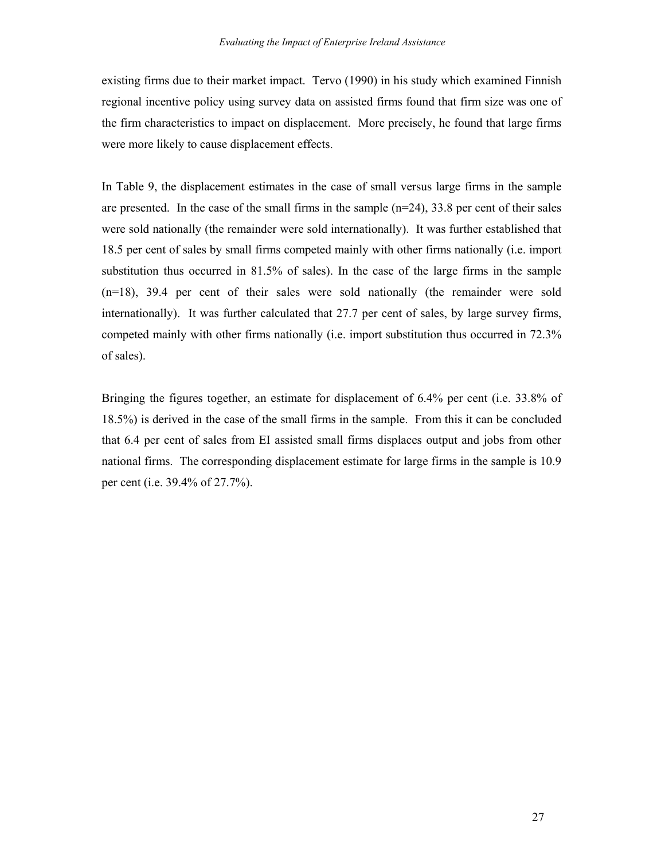existing firms due to their market impact. Tervo (1990) in his study which examined Finnish regional incentive policy using survey data on assisted firms found that firm size was one of the firm characteristics to impact on displacement. More precisely, he found that large firms were more likely to cause displacement effects.

In Table 9, the displacement estimates in the case of small versus large firms in the sample are presented. In the case of the small firms in the sample  $(n=24)$ , 33.8 per cent of their sales were sold nationally (the remainder were sold internationally). It was further established that 18.5 per cent of sales by small firms competed mainly with other firms nationally (i.e. import substitution thus occurred in 81.5% of sales). In the case of the large firms in the sample (n=18), 39.4 per cent of their sales were sold nationally (the remainder were sold internationally). It was further calculated that 27.7 per cent of sales, by large survey firms, competed mainly with other firms nationally (i.e. import substitution thus occurred in 72.3% of sales).

Bringing the figures together, an estimate for displacement of 6.4% per cent (i.e. 33.8% of 18.5%) is derived in the case of the small firms in the sample. From this it can be concluded that 6.4 per cent of sales from EI assisted small firms displaces output and jobs from other national firms. The corresponding displacement estimate for large firms in the sample is 10.9 per cent (i.e. 39.4% of 27.7%).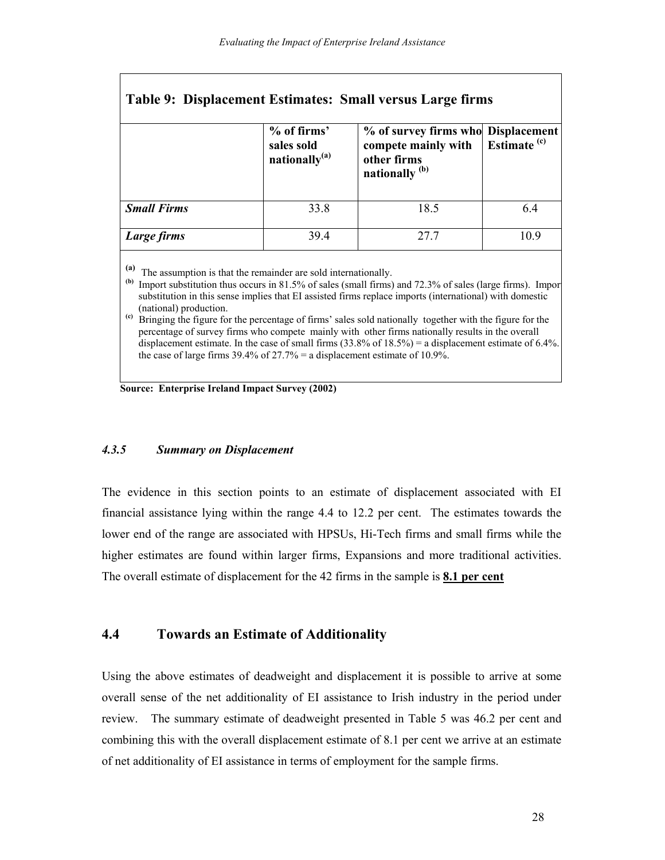| Table 9: Displacement Estimates: Small versus Large firms |                                                        |                                                                                                       |                         |  |  |
|-----------------------------------------------------------|--------------------------------------------------------|-------------------------------------------------------------------------------------------------------|-------------------------|--|--|
|                                                           | % of firms'<br>sales sold<br>nationally <sup>(a)</sup> | % of survey firms who Displacement<br>compete mainly with<br>other firms<br>nationally <sup>(b)</sup> | Estimate <sup>(c)</sup> |  |  |
| <b>Small Firms</b>                                        | 33.8                                                   | 18.5                                                                                                  | 6.4                     |  |  |
| Large firms                                               | 39.4                                                   | 27.7                                                                                                  | 109                     |  |  |

**(a)** The assumption is that the remainder are sold internationally.

**(b)** Import substitution thus occurs in 81.5% of sales (small firms) and 72.3% of sales (large firms). Import substitution in this sense implies that EI assisted firms replace imports (international) with domestic (national) production.

**(c)** Bringing the figure for the percentage of firms' sales sold nationally together with the figure for the percentage of survey firms who compete mainly with other firms nationally results in the overall displacement estimate. In the case of small firms (33.8% of 18.5%) = a displacement estimate of 6.4%. the case of large firms  $39.4\%$  of  $27.7\%$  = a displacement estimate of 10.9%.

**Source: Enterprise Ireland Impact Survey (2002)**

#### *4.3.5 Summary on Displacement*

The evidence in this section points to an estimate of displacement associated with EI financial assistance lying within the range 4.4 to 12.2 per cent. The estimates towards the lower end of the range are associated with HPSUs, Hi-Tech firms and small firms while the higher estimates are found within larger firms, Expansions and more traditional activities. The overall estimate of displacement for the 42 firms in the sample is **8.1 per cent**

## **4.4 Towards an Estimate of Additionality**

Using the above estimates of deadweight and displacement it is possible to arrive at some overall sense of the net additionality of EI assistance to Irish industry in the period under review. The summary estimate of deadweight presented in Table 5 was 46.2 per cent and combining this with the overall displacement estimate of 8.1 per cent we arrive at an estimate of net additionality of EI assistance in terms of employment for the sample firms.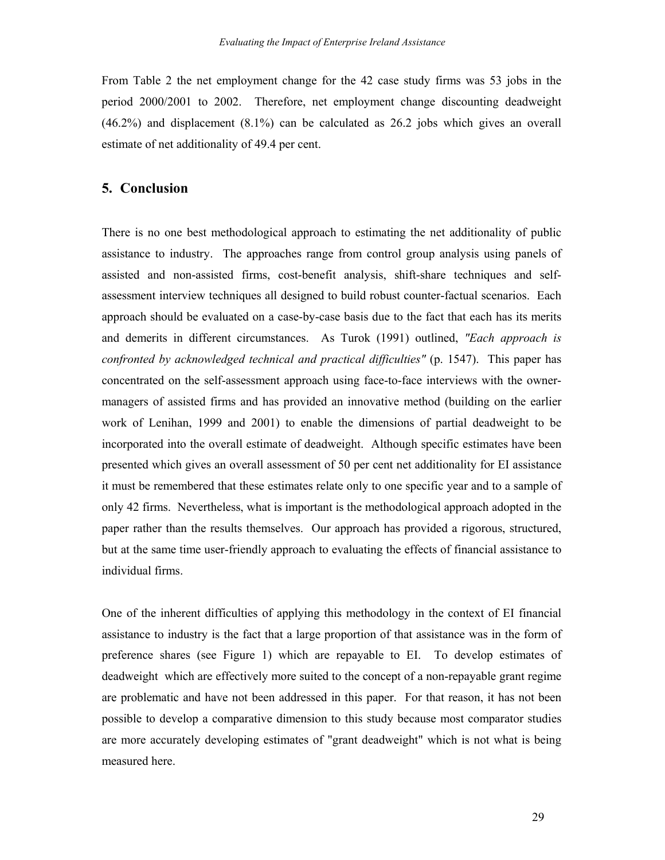From Table 2 the net employment change for the 42 case study firms was 53 jobs in the period 2000/2001 to 2002. Therefore, net employment change discounting deadweight (46.2%) and displacement (8.1%) can be calculated as 26.2 jobs which gives an overall estimate of net additionality of 49.4 per cent.

#### **5. Conclusion**

There is no one best methodological approach to estimating the net additionality of public assistance to industry. The approaches range from control group analysis using panels of assisted and non-assisted firms, cost-benefit analysis, shift-share techniques and selfassessment interview techniques all designed to build robust counter-factual scenarios. Each approach should be evaluated on a case-by-case basis due to the fact that each has its merits and demerits in different circumstances. As Turok (1991) outlined, *"Each approach is confronted by acknowledged technical and practical difficulties"* (p. 1547). This paper has concentrated on the self-assessment approach using face-to-face interviews with the ownermanagers of assisted firms and has provided an innovative method (building on the earlier work of Lenihan, 1999 and 2001) to enable the dimensions of partial deadweight to be incorporated into the overall estimate of deadweight. Although specific estimates have been presented which gives an overall assessment of 50 per cent net additionality for EI assistance it must be remembered that these estimates relate only to one specific year and to a sample of only 42 firms. Nevertheless, what is important is the methodological approach adopted in the paper rather than the results themselves. Our approach has provided a rigorous, structured, but at the same time user-friendly approach to evaluating the effects of financial assistance to individual firms.

One of the inherent difficulties of applying this methodology in the context of EI financial assistance to industry is the fact that a large proportion of that assistance was in the form of preference shares (see Figure 1) which are repayable to EI. To develop estimates of deadweight which are effectively more suited to the concept of a non-repayable grant regime are problematic and have not been addressed in this paper. For that reason, it has not been possible to develop a comparative dimension to this study because most comparator studies are more accurately developing estimates of "grant deadweight" which is not what is being measured here.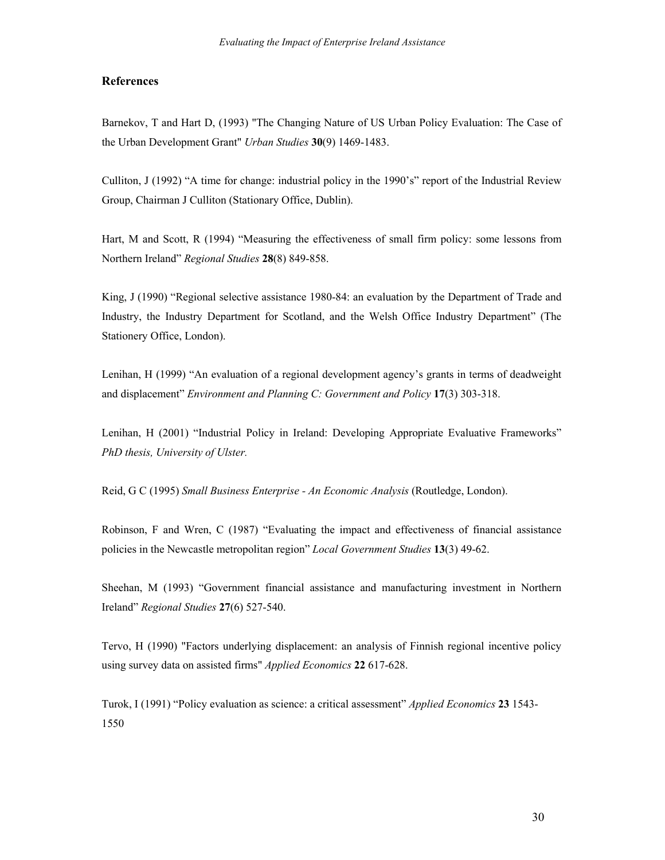#### **References**

Barnekov, T and Hart D, (1993) "The Changing Nature of US Urban Policy Evaluation: The Case of the Urban Development Grant" *Urban Studies* **30**(9) 1469-1483.

Culliton, J (1992) "A time for change: industrial policy in the 1990's" report of the Industrial Review Group, Chairman J Culliton (Stationary Office, Dublin).

Hart, M and Scott, R (1994) "Measuring the effectiveness of small firm policy: some lessons from Northern Ireland" *Regional Studies* **28**(8) 849-858.

King, J (1990) "Regional selective assistance 1980-84: an evaluation by the Department of Trade and Industry, the Industry Department for Scotland, and the Welsh Office Industry Department" (The Stationery Office, London).

Lenihan, H (1999) "An evaluation of a regional development agency's grants in terms of deadweight and displacement" *Environment and Planning C: Government and Policy* **17**(3) 303-318.

Lenihan, H (2001) "Industrial Policy in Ireland: Developing Appropriate Evaluative Frameworks" *PhD thesis, University of Ulster.* 

Reid, G C (1995) *Small Business Enterprise - An Economic Analysis* (Routledge, London).

Robinson, F and Wren, C (1987) "Evaluating the impact and effectiveness of financial assistance policies in the Newcastle metropolitan region" *Local Government Studies* **13**(3) 49-62.

Sheehan, M (1993) "Government financial assistance and manufacturing investment in Northern Ireland" *Regional Studies* **27**(6) 527-540.

Tervo, H (1990) "Factors underlying displacement: an analysis of Finnish regional incentive policy using survey data on assisted firms" *Applied Economics* **22** 617-628.

Turok, I (1991) "Policy evaluation as science: a critical assessment" *Applied Economics* **23** 1543- 1550